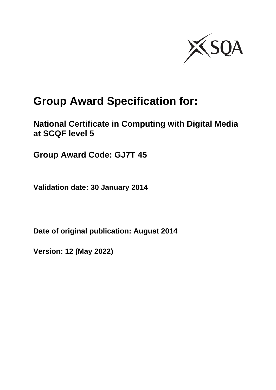

# **Group Award Specification for:**

**National Certificate in Computing with Digital Media at SCQF level 5**

**Group Award Code: GJ7T 45**

**Validation date: 30 January 2014**

**Date of original publication: August 2014**

**Version: 12 (May 2022)**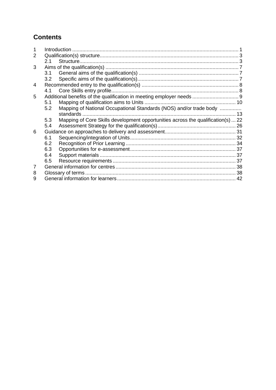## **Contents**

| 2 |     |                                                                                  |    |
|---|-----|----------------------------------------------------------------------------------|----|
|   | 2.1 |                                                                                  |    |
| 3 |     |                                                                                  |    |
|   | 3.1 |                                                                                  |    |
|   | 3.2 |                                                                                  |    |
| 4 |     |                                                                                  |    |
|   | 4.1 |                                                                                  |    |
| 5 |     |                                                                                  |    |
|   | 5.1 |                                                                                  |    |
|   | 5.2 | Mapping of National Occupational Standards (NOS) and/or trade body               |    |
|   |     |                                                                                  | 13 |
|   | 5.3 | Mapping of Core Skills development opportunities across the qualification(s)  22 |    |
|   | 5.4 |                                                                                  |    |
| 6 |     |                                                                                  |    |
|   | 6.1 |                                                                                  |    |
|   | 6.2 |                                                                                  |    |
|   | 6.3 |                                                                                  |    |
|   | 6.4 |                                                                                  |    |
|   | 6.5 |                                                                                  |    |
| 7 |     |                                                                                  |    |
| 8 |     |                                                                                  |    |
| 9 |     |                                                                                  |    |
|   |     |                                                                                  |    |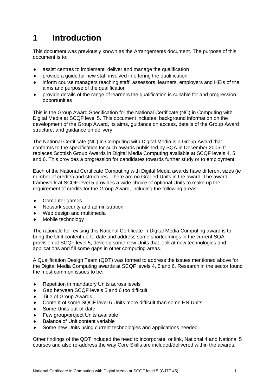# <span id="page-2-0"></span>**1 Introduction**

This document was previously known as the Arrangements document. The purpose of this document is to:

- assist centres to implement, deliver and manage the qualification
- provide a guide for new staff involved in offering the qualification
- inform course managers teaching staff, assessors, learners, employers and HEIs of the aims and purpose of the qualification
- provide details of the range of learners the qualification is suitable for and progression opportunities

This is the Group Award Specification for the National Certificate (NC) in Computing with Digital Media at SCQF level 5. This document includes: background information on the development of the Group Award, its aims, guidance on access, details of the Group Award structure, and guidance on delivery.

The National Certificate (NC) in Computing with Digital Media is a Group Award that conforms to the specification for such awards published by SQA in December 2005. It replaces Scottish Group Awards in Digital Media Computing available at SCQF levels 4, 5 and 6. This provides a progression for candidates towards further study or to employment.

Each of the National Certificate Computing with Digital Media awards have different sizes (ie number of credits) and structures. There are no Graded Units in the award. The award framework at SCQF level 5 provides a wide choice of optional Units to make up the requirement of credits for the Group Award, including the following areas:

- Computer games
- Network security and administration
- Web design and multimedia
- Mobile technology

The rationale for revising this National Certificate in Digital Media Computing award is to bring the Unit content up-to-date and address some shortcomings in the current SQA provision at SCQF level 5, develop some new Units that look at new technologies and applications and fill some gaps in other computing areas.

A Qualification Design Team (QDT) was formed to address the issues mentioned above for the Digital Media Computing awards at SCQF levels 4, 5 and 6. Research in the sector found the most common issues to be:

- ◆ Repetition in mandatory Units across levels
- Gap between SCQF levels 5 and 6 too difficult
- ◆ Title of Group Awards
- Content of some SQCF level 6 Units more difficult than some HN Units
- Some Units out-of-date
- ◆ Few group/project Units available
- Balance of Unit content variable
- Some new Units using current technologies and applications needed

Other findings of the QDT included the need to incorporate, or link, National 4 and National 5 courses and also re-address the way Core Skills are included/delivered within the awards.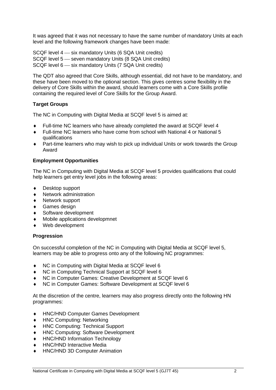It was agreed that it was not necessary to have the same number of mandatory Units at each level and the following framework changes have been made:

SCQF level 4 – six mandatory Units (6 SQA Unit credits) SCQF level 5 – seven mandatory Units (8 SQA Unit credits) SCQF level 6 – six mandatory Units (7 SQA Unit credits)

The QDT also agreed that Core Skills, although essential, did not have to be mandatory, and these have been moved to the optional section. This gives centres some flexibility in the delivery of Core Skills within the award, should learners come with a Core Skills profile containing the required level of Core Skills for the Group Award.

#### **Target Groups**

The NC in Computing with Digital Media at SCQF level 5 is aimed at:

- Full-time NC learners who have already completed the award at SCQF level 4
- Full-time NC learners who have come from school with National 4 or National 5 qualifications
- Part-time learners who may wish to pick up individual Units or work towards the Group Award

#### **Employment Opportunities**

The NC in Computing with Digital Media at SCQF level 5 provides qualifications that could help learners get entry level jobs in the following areas:

- Desktop support
- Network administration
- Network support
- Games design
- ◆ Software development
- Mobile applications developmnet
- Web development

#### **Progression**

On successful completion of the NC in Computing with Digital Media at SCQF level 5, learners may be able to progress onto any of the following NC programmes:

- NC in Computing with Digital Media at SCQF level 6
- ◆ NC in Computing Technical Support at SCQF level 6
- NC in Computer Games: Creative Development at SCQF level 6
- NC in Computer Games: Software Development at SCQF level 6

At the discretion of the centre, learners may also progress directly onto the following HN programmes:

- ◆ HNC/HND Computer Games Development
- HNC Computing: Networking
- HNC Computing: Technical Support
- HNC Computing: Software Development
- HNC/HND Information Technology
- HNC/HND Interactive Media
- HNC/HND 3D Computer Animation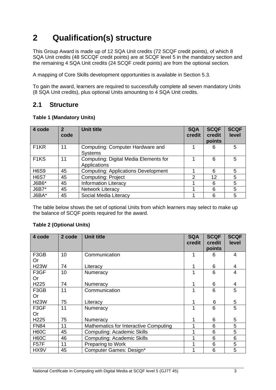# <span id="page-4-0"></span>**2 Qualification(s) structure**

This Group Award is made up of 12 SQA Unit credits (72 SCQF credit points), of which 8 SQA Unit credits (48 SCCQF credit points) are at SCQF level 5 in the mandatory section and the remaining 4 SQA Unit credits (24 SCQF credit points) are from the optional section.

A mapping of Core Skills development opportunities is available in Section 5.3.

To gain the award, learners are required to successfully complete all seven mandatory Units (8 SQA Unit credits), plus optional Units amounting to 4 SQA Unit credits.

### <span id="page-4-1"></span>**2.1 Structure**

#### **Table 1 (Mandatory Units)**

| 4 code            | 2<br>code | <b>Unit title</b>                                     | <b>SQA</b><br>credit | <b>SCQF</b><br>credit<br>points | <b>SCQF</b><br>level |
|-------------------|-----------|-------------------------------------------------------|----------------------|---------------------------------|----------------------|
| F <sub>1</sub> KR | 11        | Computing: Computer Hardware and<br><b>Systems</b>    |                      | 6                               | 5                    |
| F <sub>1</sub> KS | 11        | Computing: Digital Media Elements for<br>Applications |                      | 6                               | 5                    |
| <b>H6S9</b>       | 45        | <b>Computing: Applications Development</b>            |                      | 6                               | 5                    |
| <b>H6S7</b>       | 45        | <b>Computing: Project</b>                             | $\mathcal{P}$        | 12                              | 5                    |
| J6B6*             | 45        | <b>Information Literacy</b>                           |                      | 6                               | 5                    |
| J6B7*             | 45        | <b>Network Literacy</b>                               |                      | 6                               | 5                    |
| J6BA*             | 45        | Social Media Literacy                                 |                      | 6                               | 5                    |

The table below shows the set of optional Units from which learners may select to make up the balance of SCQF points required for the award.

#### **Table 2 (Optional Units)**

| 4 code            | 2 code | <b>Unit title</b>                     | <b>SQA</b><br>credit | <b>SCQF</b><br>credit<br>points | <b>SCQF</b><br>level |
|-------------------|--------|---------------------------------------|----------------------|---------------------------------|----------------------|
| F3GB<br><b>Or</b> | 10     | Communication                         | 1                    | 6                               | 4                    |
| <b>H23W</b>       | 74     | Literacy                              |                      | 6                               | 4                    |
| F3GF<br><b>Or</b> | 10     | Numeracy                              | 1                    | 6                               | 4                    |
| H <sub>225</sub>  | 74     | Numeracy                              | 1                    | 6                               | 4                    |
| F3GB<br><b>Or</b> | 11     | Communication                         | 1                    | 6                               | 5                    |
| <b>H23W</b>       | 75     | Literacy                              |                      | 6                               | 5                    |
| F3GF<br><b>Or</b> | 11     | Numeracy                              | 1                    | 6                               | 5                    |
| H <sub>225</sub>  | 75     | Numeracy                              |                      | 6                               | 5                    |
| <b>FN84</b>       | 11     | Mathematics for Interactive Computing | 1                    | 6                               | 5                    |
| <b>H60C</b>       | 45     | <b>Computing: Academic Skills</b>     | 1                    | 6                               | 5                    |
| <b>H60C</b>       | 46     | <b>Computing: Academic Skills</b>     | 4                    | 6                               | 6                    |
| F57F              | 11     | <b>Preparing to Work</b>              | 4                    | 6                               | 5                    |
| HX9V              | 45     | Computer Games: Design*               |                      | 6                               | 5                    |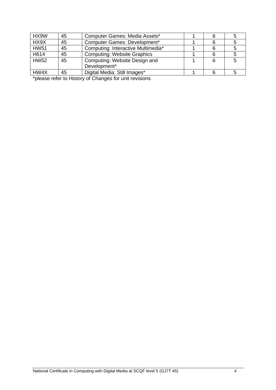| HX9W        | 45 | Computer Games: Media Assets*      |  |  |
|-------------|----|------------------------------------|--|--|
| HX9X        | 45 | Computer Games: Development*       |  |  |
| <b>HW51</b> | 45 | Computing: Interactive Multimedia* |  |  |
| H614        | 45 | <b>Computing: Website Graphics</b> |  |  |
| <b>HW52</b> | 45 | Computing: Website Design and      |  |  |
|             |    | Development*                       |  |  |
| HW4X        | 45 | Digital Media: Still Images*       |  |  |

\*please refer to History of Changes for unit revisions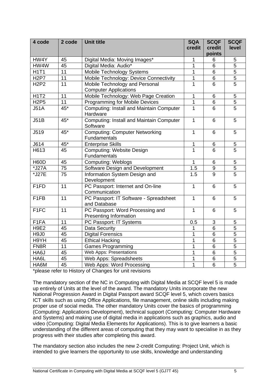| 4 code           | 2 code | <b>Unit title</b>                        | <b>SQA</b><br>credit | <b>SCQF</b><br>credit | <b>SCQF</b><br>level |
|------------------|--------|------------------------------------------|----------------------|-----------------------|----------------------|
|                  |        |                                          |                      | points                |                      |
| HW4Y             | 45     | Digital Media: Moving Images*            | 1                    | 6                     | 5                    |
| HW4W             | 45     | Digital Media: Audio*                    | 1                    | 6                     | $\overline{5}$       |
| <b>H1T1</b>      | 11     | Mobile Technology Systems                | 1                    | 6                     | 5                    |
| <b>H2P7</b>      | 11     | Mobile Technology: Device Connectivity   | 1                    | 6                     | $\overline{5}$       |
| <b>H2P2</b>      | 11     | Mobile Technology and Personal           | 1                    | 6                     | $\overline{5}$       |
|                  |        | <b>Computer Applications</b>             |                      |                       |                      |
| <b>H1T2</b>      | 11     | Mobile Technology: Web Page Creation     | 1                    | 6                     | 5                    |
| <b>H2P5</b>      | 11     | <b>Programming for Mobile Devices</b>    | $\mathbf{1}$         | 6                     | $\overline{5}$       |
| <b>J51A</b>      | 45*    | Computing: Install and Maintain Computer | $\overline{1}$       | 6                     | $\overline{5}$       |
|                  |        | Hardware                                 |                      |                       |                      |
| J51B             | $45*$  | Computing: Install and Maintain Computer | $\mathbf{1}$         | 6                     | 5                    |
|                  |        | Software                                 |                      |                       |                      |
| J519             | $45*$  | <b>Computing: Computer Networking</b>    | 1                    | 6                     | 5                    |
|                  |        | Fundamentals                             |                      |                       |                      |
| J614             | 45*    | <b>Enterprise Skills</b>                 | 1                    | $\,6$                 | 5                    |
| H613             | 45     | <b>Computing: Website Design</b>         | 1                    | 6                     | $\overline{5}$       |
|                  |        | Fundamentals                             |                      |                       |                      |
| <b>H60D</b>      | 45     | <b>Computing: Weblogs</b>                | 1                    | 6                     | 5                    |
| *J27A            | 75     | Software Design and Development          | 1.5                  | 9                     | $\overline{5}$       |
| *J27E            | 75     | Information System Design and            | 1.5                  | 9                     | $\overline{5}$       |
|                  |        | Development                              |                      |                       |                      |
| F1FD             | 11     | PC Passport: Internet and On-line        | $\mathbf{1}$         | 6                     | 5                    |
|                  |        | Communication                            |                      |                       |                      |
| F <sub>1FB</sub> | 11     | PC Passport: IT Software - Spreadsheet   | $\mathbf{1}$         | 6                     | 5                    |
|                  |        | and Database                             |                      |                       |                      |
| F <sub>1FC</sub> | 11     | PC Passport: Word Processing and         | $\mathbf{1}$         | 6                     | 5                    |
|                  |        | <b>Presenting Information</b>            |                      |                       |                      |
| F1FA             | 11     | PC Passport: IT Systems                  | 0.5                  | $\mathbf 3$           | 5                    |
| <b>H9E2</b>      | 45     | <b>Data Security</b>                     | 1                    | 6                     | $\overline{5}$       |
| <b>H9J0</b>      | 45     | <b>Digital Forensics</b>                 | 1                    | 6                     | $\overline{5}$       |
| H9YH             | 45     | <b>Ethical Hacking</b>                   | 1                    | $6\phantom{1}$        | $\overline{5}$       |
| FN8R             | 11     | <b>Games Programming</b>                 | $\overline{1}$       | 6                     | $\overline{5}$       |
| HA6J             | 45     | <b>Web Apps: Presentations</b>           | 1                    | $\overline{6}$        | $\overline{5}$       |
| HA6L             | 45     | <b>Web Apps: Spreadsheets</b>            | 1                    | 6                     | $\overline{5}$       |
| HA6M             | 45     | Web Apps: Word Processing                | $\mathbf 1$          | $\overline{6}$        | $\overline{5}$       |

\*please refer to History of Changes for unit revisions

The mandatory section of the NC in Computing with Digital Media at SCQF level 5 is made up entirely of Units at the level of the award. The mandatory Units incorporate the new National Progression Award in Digital Passport award SCQF level 5, which covers basics ICT skills such as using Office Applications, file management, online skills including making proper use of social media. The other mandatory Units cover the basics of programming (Computing: Applications Development), technical support (Computing: Computer Hardware and Systems) and making use of digital media in applications such as graphics, audio and video (Computing: Digital Media Elements for Applications). This is to give learners a basic understanding of the different areas of computing that they may want to specialise in as they progress with their studies after completing this award.

The mandatory section also includes the new 2-credit Computing: Project Unit, which is intended to give learners the opportunity to use skills, knowledge and understanding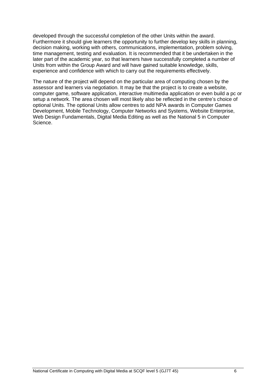developed through the successful completion of the other Units within the award. Furthermore it should give learners the opportunity to further develop key skills in planning, decision making, working with others, communications, implementation, problem solving, time management, testing and evaluation. It is recommended that it be undertaken in the later part of the academic year, so that learners have successfully completed a number of Units from within the Group Award and will have gained suitable knowledge, skills, experience and confidence with which to carry out the requirements effectively.

The nature of the project will depend on the particular area of computing chosen by the assessor and learners via negotiation. It may be that the project is to create a website, computer game, software application, interactive multimedia application or even build a pc or setup a network. The area chosen will most likely also be reflected in the centre's choice of optional Units. The optional Units allow centres to add NPA awards in Computer Games Development, Mobile Technology, Computer Networks and Systems, Website Enterprise, Web Design Fundamentals, Digital Media Editing as well as the National 5 in Computer Science.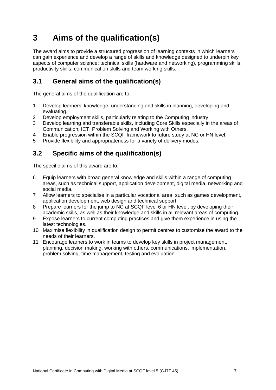# <span id="page-8-0"></span>**3 Aims of the qualification(s)**

The award aims to provide a structured progression of learning contexts in which learners can gain experience and develop a range of skills and knowledge designed to underpin key aspects of computer science: technical skills (hardware and networking), programming skills, productivity skills, communication skills and team working skills.

## <span id="page-8-1"></span>**3.1 General aims of the qualification(s)**

The general aims of the qualification are to:

- 1 Develop learners' knowledge, understanding and skills in planning, developing and evaluating.
- 2 Develop employment skills, particularly relating to the Computing industry.
- 3 Develop learning and transferable skills, including Core Skills especially in the areas of Communication, ICT, Problem Solving and Working with Others.
- 4 Enable progression within the SCQF framework to future study at NC or HN level.
- 5 Provide flexibility and appropriateness for a variety of delivery modes.

## <span id="page-8-2"></span>**3.2 Specific aims of the qualification(s)**

The specific aims of this award are to:

- 6 Equip learners with broad general knowledge and skills within a range of computing areas, such as technical support, application development, digital media, networking and social media.
- 7 Allow learners to specialise in a particular vocational area, such as games development, application development, web design and technical support.
- 8 Prepare learners for the jump to NC at SCQF level 6 or HN level, by developing their academic skills, as well as their knowledge and skills in all relevant areas of computing.
- 9 Expose learners to current computing practices and give them experience in using the latest technologies.
- 10 Maximise flexibility in qualification design to permit centres to customise the award to the needs of their learners.
- 11 Encourage learners to work in teams to develop key skills in project management, planning, decision making, working with others, communications, implementation, problem solving, time management, testing and evaluation.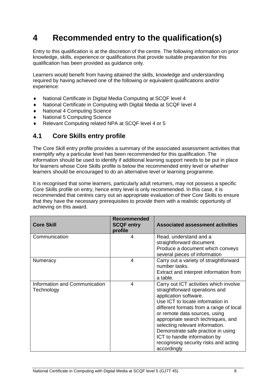# <span id="page-9-0"></span>**4 Recommended entry to the qualification(s)**

Entry to this qualification is at the discretion of the centre. The following information on prior knowledge, skills, experience or qualifications that provide suitable preparation for this qualification has been provided as guidance only.

Learners would benefit from having attained the skills, knowledge and understanding required by having achieved one of the following or equivalent qualifications and/or experience:

- National Certificate in Digital Media Computing at SCQF level 4
- National Certificate in Computing with Digital Media at SCQF level 4
- National 4 Computing Science
- National 5 Computing Science
- Relevant Computing related NPA at SCQF level 4 or 5

### <span id="page-9-1"></span>**4.1 Core Skills entry profile**

The Core Skill entry profile provides a summary of the associated assessment activities that exemplify why a particular level has been recommended for this qualification. The information should be used to identify if additional learning support needs to be put in place for learners whose Core Skills profile is below the recommended entry level or whether learners should be encouraged to do an alternative level or learning programme.

It is recognised that some learners, particularly adult returners, may not possess a specific Core Skills profile on entry, hence entry level is only recommended. In this case, it is recommended that centres carry out an appropriate evaluation of their Core Skills to ensure that they have the necessary prerequisites to provide them with a realistic opportunity of achieving on this award.

| <b>Core Skill</b>                           | <b>Recommended</b><br><b>SCQF entry</b><br>profile | <b>Associated assessment activities</b>                                                                                                                                                                                                                                                                                                                                                                                  |
|---------------------------------------------|----------------------------------------------------|--------------------------------------------------------------------------------------------------------------------------------------------------------------------------------------------------------------------------------------------------------------------------------------------------------------------------------------------------------------------------------------------------------------------------|
| Communication                               | 4                                                  | Read, understand and a<br>straightforward document.<br>Produce a document which conveys<br>several pieces of information                                                                                                                                                                                                                                                                                                 |
| Numeracy                                    | 4                                                  | Carry out a variety of straightforward<br>number tasks.<br>Extract and interpret information from<br>a table.                                                                                                                                                                                                                                                                                                            |
| Information and Communication<br>Technology | 4                                                  | Carry out ICT activities which involve<br>straightforward operations and<br>application software.<br>Use ICT to locate information in<br>different formats from a range of local<br>or remote data sources, using<br>appropriate search techniques, and<br>selecting relevant information.<br>Demonstrate safe practice in using<br>ICT to handle information by<br>recognising security risks and acting<br>accordingly |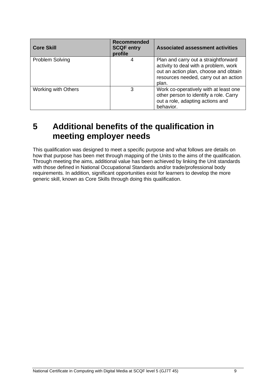| <b>Core Skill</b>   | <b>Recommended</b><br><b>SCQF entry</b><br>profile | <b>Associated assessment activities</b>                                                                                                                                  |
|---------------------|----------------------------------------------------|--------------------------------------------------------------------------------------------------------------------------------------------------------------------------|
| Problem Solving     | 4                                                  | Plan and carry out a straightforward<br>activity to deal with a problem, work<br>out an action plan, choose and obtain<br>resources needed, carry out an action<br>plan. |
| Working with Others | З                                                  | Work co-operatively with at least one<br>other person to identify a role. Carry<br>out a role, adapting actions and<br>behavior.                                         |

# <span id="page-10-0"></span>**5 Additional benefits of the qualification in meeting employer needs**

This qualification was designed to meet a specific purpose and what follows are details on how that purpose has been met through mapping of the Units to the aims of the qualification. Through meeting the aims, additional value has been achieved by linking the Unit standards with those defined in National Occupational Standards and/or trade/professional body requirements. In addition, significant opportunities exist for learners to develop the more generic skill, known as Core Skills through doing this qualification.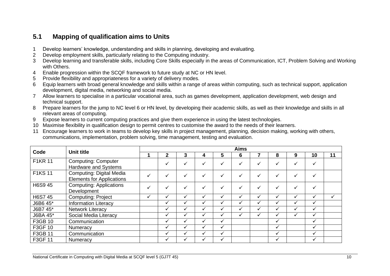## **5.1 Mapping of qualification aims to Units**

- 1 Develop learners' knowledge, understanding and skills in planning, developing and evaluating.
- 2 Develop employment skills, particularly relating to the Computing industry.
- 3 Develop learning and transferable skills, including Core Skills especially in the areas of Communication, ICT, Problem Solving and Working with Others.
- 4 Enable progression within the SCQF framework to future study at NC or HN level.
- 5 Provide flexibility and appropriateness for a variety of delivery modes.
- 6 Equip learners with broad general knowledge and skills within a range of areas within computing, such as technical support, application development, digital media, networking and social media.
- 7 Allow learners to specialise in a particular vocational area, such as games development, application development, web design and technical support.
- 8 Prepare learners for the jump to NC level 6 or HN level, by developing their academic skills, as well as their knowledge and skills in all relevant areas of computing.
- 9 Expose learners to current computing practices and give them experience in using the latest technologies.
- 10 Maximise flexibility in qualification design to permit centres to customise the award to the needs of their learners.
- 11 Encourage learners to work in teams to develop key skills in project management, planning, decision making, working with others, communications, implementation, problem solving, time management, testing and evaluation.

<span id="page-11-0"></span>

|                |                                                              |              |              |              |   |              | <b>Aims</b>  |                          |   |              |              |    |
|----------------|--------------------------------------------------------------|--------------|--------------|--------------|---|--------------|--------------|--------------------------|---|--------------|--------------|----|
| Code           | Unit title                                                   |              | $\mathbf{2}$ | 3            | 4 | 5            | 6            |                          | 8 | 9            | 10           | 11 |
| <b>F1KR 11</b> | <b>Computing: Computer</b><br>Hardware and Systems           |              |              | √            | ✓ |              | $\checkmark$ |                          |   | $\checkmark$ | $\checkmark$ |    |
| <b>F1KS 11</b> | Computing: Digital Media<br><b>Elements for Applications</b> | $\checkmark$ |              |              | v |              | ✓            |                          |   | $\checkmark$ |              |    |
| H6S9 45        | <b>Computing: Applications</b><br>Development                | $\checkmark$ |              | ✓            | ✓ |              | ✓            |                          |   | $\checkmark$ |              |    |
| H6S7 45        | <b>Computing: Project</b>                                    | $\checkmark$ |              |              | ✓ |              | ✓            |                          |   | ✓            | ✓            | ✓  |
| J6B6 45*       | <b>Information Literacy</b>                                  |              | ✔            | ✔            | ✓ | ✓            | ✓            | $\overline{\phantom{a}}$ |   | ✓            | $\checkmark$ |    |
| J6B7 45*       | <b>Network Literacy</b>                                      |              | ✔            | ✔            | ✓ |              | ✓            |                          |   | ✓            | ✓            |    |
| J6BA 45*       | Social Media Literacy                                        |              |              |              |   |              | ✔            |                          |   |              |              |    |
| F3GB 10        | Communication                                                |              | ✔            | ✔            | ✓ | $\checkmark$ |              |                          | ✓ |              | ✓            |    |
| F3GF 10        | Numeracy                                                     |              | ✔            | $\checkmark$ | ✓ | $\checkmark$ |              |                          |   |              | ✓            |    |
| F3GB 11        | Communication                                                |              | ✔            |              | ✓ | ✓            |              |                          | ✓ |              | ✓            |    |
| F3GF 11        | Numeracy                                                     |              | ✔            | v            | ✓ | ✓            |              |                          | ✓ |              | ✓            |    |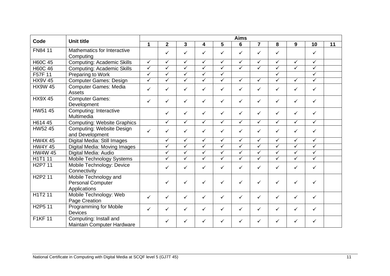|                                  |                                                                   |                         |                |                         |                         |                         | <b>Aims</b>             |                |                         |              |                         |    |
|----------------------------------|-------------------------------------------------------------------|-------------------------|----------------|-------------------------|-------------------------|-------------------------|-------------------------|----------------|-------------------------|--------------|-------------------------|----|
| Code                             | <b>Unit title</b>                                                 | $\mathbf{1}$            | $\overline{2}$ | $\overline{3}$          | 4                       | 5                       | 6                       | $\overline{7}$ | 8                       | 9            | 10                      | 11 |
| FN84 11                          | Mathematics for Interactive<br>Computing                          |                         | ✓              | ✓                       | ✓                       | ✓                       | ✓                       | ✓              | ✓                       |              | ✓                       |    |
| <b>H60C 45</b>                   | <b>Computing: Academic Skills</b>                                 | $\overline{\checkmark}$ | $\sqrt{}$      | $\checkmark$            | $\checkmark$            | $\overline{\checkmark}$ | $\checkmark$            | $\sqrt{}$      | $\checkmark$            | $\checkmark$ | $\checkmark$            |    |
| <b>H60C 46</b>                   | <b>Computing: Academic Skills</b>                                 | $\checkmark$            | $\checkmark$   | $\checkmark$            | $\checkmark$            | $\overline{\checkmark}$ | $\checkmark$            | $\checkmark$   | ✓                       | ✓            | $\checkmark$            |    |
| F57F 11                          | Preparing to Work                                                 | $\checkmark$            | ✓              | $\checkmark$            | ✓                       | ✓                       |                         |                | ✓                       |              | $\checkmark$            |    |
| <b>HX9V 45</b>                   | <b>Computer Games: Design</b>                                     | $\checkmark$            | $\checkmark$   | $\checkmark$            | ✓                       | $\checkmark$            | $\checkmark$            | $\checkmark$   | ✓                       | $\checkmark$ | $\overline{\checkmark}$ |    |
| <b>HX9W 45</b>                   | <b>Computer Games: Media</b><br>Assets                            | $\checkmark$            | ✓              | $\checkmark$            | ✓                       | $\checkmark$            | ✓                       | ✓              | ✓                       | $\checkmark$ | $\checkmark$            |    |
| <b>HX9X45</b>                    | <b>Computer Games:</b><br>Development                             | $\checkmark$            | $\checkmark$   | ✓                       | ✓                       | $\checkmark$            | ✓                       | $\checkmark$   | ✓                       | $\checkmark$ | $\checkmark$            |    |
| HW51 45                          | Computing: Interactive<br>Multimedia                              |                         | ✓              | $\checkmark$            | ✓                       | $\checkmark$            | ✓                       | $\checkmark$   | ✓                       | $\checkmark$ | $\checkmark$            |    |
| H614 45                          | <b>Computing: Website Graphics</b>                                |                         | $\checkmark$   | $\overline{\checkmark}$ | $\overline{\checkmark}$ | $\sqrt{}$               | $\overline{\checkmark}$ | $\checkmark$   | $\overline{\checkmark}$ | $\checkmark$ | $\sqrt{}$               |    |
| HW52 45                          | <b>Computing: Website Design</b><br>and Development               | $\checkmark$            | ✓              | ✓                       | ✓                       | $\checkmark$            | ✓                       | $\checkmark$   | ✓                       | $\checkmark$ | $\checkmark$            |    |
| <b>HW4X45</b>                    | Digital Media: Still Images                                       |                         | $\checkmark$   | $\overline{\checkmark}$ | $\checkmark$            | $\sqrt{}$               | $\overline{\checkmark}$ | $\checkmark$   | $\sqrt{}$               | $\checkmark$ | $\sqrt{}$               |    |
| <b>HW4Y 45</b>                   | Digital Media: Moving Images                                      |                         | ✓              | $\checkmark$            | ✓                       | $\checkmark$            | $\checkmark$            | $\checkmark$   | $\checkmark$            | $\checkmark$ | $\checkmark$            |    |
| <b>HW4W 45</b>                   | Digital Media: Audio                                              |                         | ✓              | $\overline{\checkmark}$ | $\checkmark$            | $\checkmark$            | $\checkmark$            | $\checkmark$   | $\checkmark$            | $\checkmark$ | $\overline{\checkmark}$ |    |
| H1T1 11                          | Mobile Technology Systems                                         |                         | $\checkmark$   | $\checkmark$            | ✓                       | $\overline{\checkmark}$ | $\checkmark$            | $\checkmark$   | ✓                       | $\checkmark$ | $\overline{\checkmark}$ |    |
| H <sub>2</sub> P7 11             | Mobile Technology: Device<br>Connectivity                         |                         | $\checkmark$   | $\checkmark$            | $\checkmark$            | $\checkmark$            | ✓                       | $\checkmark$   | ✓                       | $\checkmark$ | $\checkmark$            |    |
| H <sub>2</sub> P <sub>2</sub> 11 | Mobile Technology and<br><b>Personal Computer</b><br>Applications |                         | ✓              | ✓                       | ✓                       | ✓                       | ✓                       | ✓              | ✓                       | $\checkmark$ | ✓                       |    |
| H1T2 11                          | Mobile Technology: Web<br>Page Creation                           | $\checkmark$            | $\checkmark$   | ✓                       | $\checkmark$            | $\checkmark$            | ✓                       | ✓              | ✓                       | $\checkmark$ | ✓                       |    |
| H <sub>2</sub> P <sub>5</sub> 11 | <b>Programming for Mobile</b><br><b>Devices</b>                   | $\checkmark$            | $\checkmark$   | $\checkmark$            | ✓                       | $\checkmark$            | ✓                       | $\checkmark$   | ✓                       | $\checkmark$ | $\checkmark$            |    |
| <b>F1KF11</b>                    | Computing: Install and<br>Maintain Computer Hardware              |                         | ✓              | ✓                       | ✓                       | ✓                       | ✓                       |                | ✓                       | ✓            | ✓                       |    |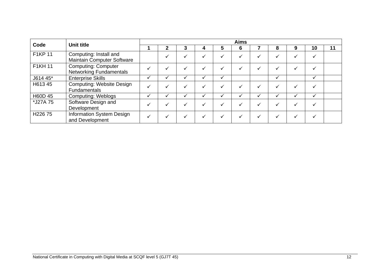| Code                | <b>Unit title</b>                                            |   |  |   |   | <b>Aims</b> |   |   |    |    |
|---------------------|--------------------------------------------------------------|---|--|---|---|-------------|---|---|----|----|
|                     |                                                              |   |  | 4 | 5 | 6           | 8 | 9 | 10 | 11 |
| F1KP 11             | Computing: Install and<br><b>Maintain Computer Software</b>  |   |  |   |   |             |   |   |    |    |
| <b>F1KH 11</b>      | <b>Computing: Computer</b><br><b>Networking Fundamentals</b> | ✓ |  |   |   |             |   |   |    |    |
| J614 45*            | <b>Enterprise Skills</b>                                     |   |  |   |   |             |   |   |    |    |
| H613 45             | <b>Computing: Website Design</b><br><b>Fundamentals</b>      |   |  |   |   |             |   |   |    |    |
| H60D 45             | <b>Computing: Weblogs</b>                                    | ✓ |  |   |   |             |   | ✓ |    |    |
| *J27A 75            | Software Design and<br>Development                           |   |  |   |   |             |   |   |    |    |
| H <sub>226</sub> 75 | Information System Design<br>and Development                 | √ |  |   |   |             |   |   |    |    |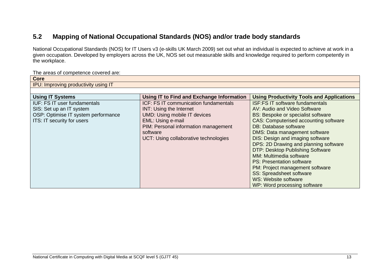## **5.2 Mapping of National Occupational Standards (NOS) and/or trade body standards**

National Occupational Standards (NOS) for IT Users v3 (e-skills UK March 2009) set out what an individual is expected to achieve at work in a given occupation. Developed by employers across the UK, NOS set out measurable skills and knowledge required to perform competently in the workplace.

The areas of competence covered are:

<span id="page-14-0"></span>

| <b>Core</b>                          |                                           |                                                  |  |  |  |  |  |  |  |  |  |  |  |
|--------------------------------------|-------------------------------------------|--------------------------------------------------|--|--|--|--|--|--|--|--|--|--|--|
| IPU: Improving productivity using IT |                                           |                                                  |  |  |  |  |  |  |  |  |  |  |  |
|                                      |                                           |                                                  |  |  |  |  |  |  |  |  |  |  |  |
| <b>Using IT Systems</b>              | Using IT to Find and Exchange Information | <b>Using Productivity Tools and Applications</b> |  |  |  |  |  |  |  |  |  |  |  |
| <b>IUF: FS IT user fundamentals</b>  | ICF: FS IT communication fundamentals     | <b>ISF:FS IT software fundamentals</b>           |  |  |  |  |  |  |  |  |  |  |  |
| SIS: Set up an IT system             | <b>INT: Using the Internet</b>            | AV: Audio and Video Software                     |  |  |  |  |  |  |  |  |  |  |  |
| OSP: Optimise IT system performance  | <b>UMD: Using mobile IT devices</b>       | <b>BS: Bespoke or specialist software</b>        |  |  |  |  |  |  |  |  |  |  |  |
| ITS: IT security for users           | EML: Using e-mail                         | <b>CAS: Computerised accounting software</b>     |  |  |  |  |  |  |  |  |  |  |  |
|                                      | PIM: Personal information management      | DB: Database software                            |  |  |  |  |  |  |  |  |  |  |  |
|                                      | software                                  | <b>DMS: Data management software</b>             |  |  |  |  |  |  |  |  |  |  |  |
|                                      | UCT: Using collaborative technologies     | DIS: Design and imaging software                 |  |  |  |  |  |  |  |  |  |  |  |
|                                      |                                           | DPS: 2D Drawing and planning software            |  |  |  |  |  |  |  |  |  |  |  |
|                                      |                                           | <b>DTP: Desktop Publishing Software</b>          |  |  |  |  |  |  |  |  |  |  |  |
|                                      |                                           | MM: Multimedia software                          |  |  |  |  |  |  |  |  |  |  |  |
|                                      |                                           | PS: Presentation software                        |  |  |  |  |  |  |  |  |  |  |  |
|                                      |                                           | PM: Project management software                  |  |  |  |  |  |  |  |  |  |  |  |
|                                      |                                           | <b>SS: Spreadsheet software</b>                  |  |  |  |  |  |  |  |  |  |  |  |
|                                      |                                           | <b>WS: Website software</b>                      |  |  |  |  |  |  |  |  |  |  |  |
|                                      |                                           | WP: Word processing software                     |  |  |  |  |  |  |  |  |  |  |  |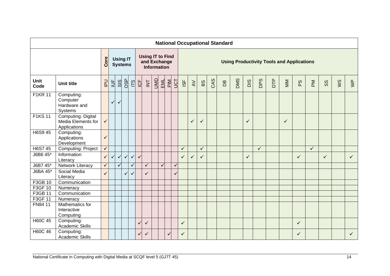| <b>National Occupational Standard</b> |                                                          |                |               |              |                                   |              |                                                               |                  |     |     |     |              |                                                  |              |              |     |              |            |              |              |     |              |    |                              |              |    |              |
|---------------------------------------|----------------------------------------------------------|----------------|---------------|--------------|-----------------------------------|--------------|---------------------------------------------------------------|------------------|-----|-----|-----|--------------|--------------------------------------------------|--------------|--------------|-----|--------------|------------|--------------|--------------|-----|--------------|----|------------------------------|--------------|----|--------------|
|                                       |                                                          | Core           |               |              | <b>Using IT</b><br><b>Systems</b> |              | <b>Using IT to Find</b><br>and Exchange<br><b>Information</b> |                  |     |     |     |              | <b>Using Productivity Tools and Applications</b> |              |              |     |              |            |              |              |     |              |    |                              |              |    |              |
| <b>Unit</b><br>Code                   | <b>Unit title</b>                                        | $\overline{P}$ | $\frac{1}{2}$ | SIS          | OSP<br>ITS<br>ICF                 |              |                                                               | $\overline{\Xi}$ | UMD | EML | PIM | JCT          | $\overline{\mathbf{S}}$                          | $\gtrsim$    | BS           | CAS | $\mathsf{B}$ | <b>DMS</b> | DIS          | <b>DPS</b>   | DTP | MM           | ΡS | $\mathop{\bf \Sigma}\limits$ | $\infty$     | ws | $\geq$       |
| <b>F1KR 11</b>                        | Computing:<br>Computer<br>Hardware and<br>Systems        |                | $\checkmark$  | $\checkmark$ |                                   |              |                                                               |                  |     |     |     |              |                                                  |              |              |     |              |            |              |              |     |              |    |                              |              |    |              |
| <b>F1KS 11</b>                        | Computing: Digital<br>Media Elements for<br>Applications | $\checkmark$   |               |              |                                   |              |                                                               |                  |     |     |     |              |                                                  | $\checkmark$ | $\checkmark$ |     |              |            | $\checkmark$ |              |     | $\checkmark$ |    |                              |              |    |              |
| <b>H6S9 45</b>                        | Computing:<br>Applications<br>Development                | $\checkmark$   |               |              |                                   |              |                                                               |                  |     |     |     |              |                                                  |              |              |     |              |            |              |              |     |              |    |                              |              |    |              |
| <b>H6S7 45</b>                        | Computing: Project                                       | $\sqrt{}$      |               |              |                                   |              |                                                               |                  |     |     |     |              | $\checkmark$                                     |              | $\checkmark$ |     |              |            |              | $\checkmark$ |     |              |    | $\checkmark$                 |              |    |              |
| J6B6 45*                              | Information<br>Literacy                                  | $\checkmark$   | $\checkmark$  | $\checkmark$ | $\checkmark$                      | $\checkmark$ | $\checkmark$                                                  |                  |     |     |     |              | ✓                                                | $\checkmark$ | ✓            |     |              |            | $\checkmark$ |              |     |              | ✓  |                              | $\checkmark$ |    | $\checkmark$ |
| J6B7 45*                              | Network Literacy                                         | $\checkmark$   |               | ✓            |                                   | ✓            |                                                               | $\checkmark$     |     |     |     | $\checkmark$ |                                                  |              |              |     |              |            |              |              |     |              |    |                              |              |    |              |
| J6BA 45*                              | Social Media<br>Literacy                                 | $\checkmark$   |               |              | ✓                                 | ✓            |                                                               | $\checkmark$     |     |     |     |              |                                                  |              |              |     |              |            |              |              |     |              |    |                              |              |    |              |
| F3GB 10                               | Communication                                            |                |               |              |                                   |              |                                                               |                  |     |     |     |              |                                                  |              |              |     |              |            |              |              |     |              |    |                              |              |    |              |
| F3GF 10                               | Numeracy                                                 |                |               |              |                                   |              |                                                               |                  |     |     |     |              |                                                  |              |              |     |              |            |              |              |     |              |    |                              |              |    |              |
| F3GB 11                               | Communication                                            |                |               |              |                                   |              |                                                               |                  |     |     |     |              |                                                  |              |              |     |              |            |              |              |     |              |    |                              |              |    |              |
| F3GF 11                               | Numeracy                                                 |                |               |              |                                   |              |                                                               |                  |     |     |     |              |                                                  |              |              |     |              |            |              |              |     |              |    |                              |              |    |              |
| FN84 11                               | Mathematics for<br>Interactive<br>Computing              |                |               |              |                                   |              |                                                               |                  |     |     |     |              |                                                  |              |              |     |              |            |              |              |     |              |    |                              |              |    |              |
| <b>H60C 45</b>                        | Computing:<br><b>Academic Skills</b>                     |                |               |              |                                   |              | $\checkmark$                                                  | $\checkmark$     |     |     |     |              | $\checkmark$                                     |              |              |     |              |            |              |              |     |              | ✓  |                              |              |    |              |
| H60C 46                               | Computing:<br><b>Academic Skills</b>                     |                |               |              |                                   |              | $\checkmark$                                                  | $\checkmark$     |     |     |     |              | $\checkmark$                                     |              |              |     |              |            |              |              |     |              | ✓  |                              |              |    | ✓            |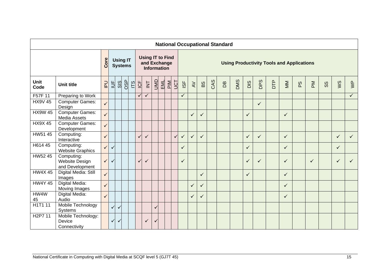|                      |                                                        |                 |                |                                   |     |    |              |                                                               |              |                 |              |                        |              |              |     | <b>National Occupational Standard</b> |            |              |              |                                                  |              |    |              |    |              |                           |
|----------------------|--------------------------------------------------------|-----------------|----------------|-----------------------------------|-----|----|--------------|---------------------------------------------------------------|--------------|-----------------|--------------|------------------------|--------------|--------------|-----|---------------------------------------|------------|--------------|--------------|--------------------------------------------------|--------------|----|--------------|----|--------------|---------------------------|
|                      |                                                        | Core            |                | <b>Using IT</b><br><b>Systems</b> |     |    |              | <b>Using IT to Find</b><br>and Exchange<br><b>Information</b> |              |                 |              |                        |              |              |     |                                       |            |              |              | <b>Using Productivity Tools and Applications</b> |              |    |              |    |              |                           |
| Unit<br>Code         | <b>Unit title</b>                                      | $\overline{P}U$ | $\overline{a}$ | SIS                               | OSP | 15 | <b>UF</b>    | $\overline{\mathsf{K}}$                                       | <b>UMU</b>   | $\frac{EM}{EM}$ | UCT          | $\overline{\text{SO}}$ | $\gtrsim$    | BS           | CAS | B <sub>0</sub>                        | <b>DMS</b> | DIS          | DPS          | DTP                                              | MM           | PS | $\mathbb N$  | SS | ws           | $\mathsf{S}^{\mathsf{p}}$ |
| F57F 11              | Preparing to Work                                      |                 |                |                                   |     |    | $\checkmark$ | $\checkmark$                                                  |              |                 |              | $\checkmark$           |              |              |     |                                       |            |              |              |                                                  |              |    |              |    |              | $\checkmark$              |
| <b>HX9V 45</b>       | <b>Computer Games:</b><br>Design                       | $\checkmark$    |                |                                   |     |    |              |                                                               |              |                 |              |                        |              |              |     |                                       |            |              | $\checkmark$ |                                                  |              |    |              |    |              |                           |
| <b>HX9W 45</b>       | <b>Computer Games:</b><br>Media Assets                 | $\checkmark$    |                |                                   |     |    |              |                                                               |              |                 |              |                        | $\checkmark$ | $\checkmark$ |     |                                       |            | $\checkmark$ |              |                                                  | $\checkmark$ |    |              |    |              |                           |
| <b>HX9X45</b>        | <b>Computer Games:</b><br>Development                  |                 |                |                                   |     |    |              |                                                               |              |                 |              |                        |              |              |     |                                       |            |              |              |                                                  |              |    |              |    |              |                           |
| HW51 45              | Computing:<br>Interactive                              | $\checkmark$    |                |                                   |     |    | $\checkmark$ | $\checkmark$                                                  |              |                 | $\checkmark$ | $\checkmark$           | $\checkmark$ | $\checkmark$ |     |                                       |            | $\checkmark$ | $\checkmark$ |                                                  | $\checkmark$ |    |              |    | $\checkmark$ | $\checkmark$              |
| H614 45              | Computing:<br><b>Website Graphics</b>                  | $\checkmark$    | ✓              |                                   |     |    |              |                                                               |              |                 |              | $\checkmark$           |              |              |     |                                       |            | $\checkmark$ |              |                                                  | $\checkmark$ |    |              |    | $\checkmark$ |                           |
| HW52 45              | Computing:<br><b>Website Design</b><br>and Development | $\checkmark$    | $\checkmark$   |                                   |     |    | $\checkmark$ | $\checkmark$                                                  |              |                 |              | $\checkmark$           |              |              |     |                                       |            | $\checkmark$ | $\checkmark$ |                                                  | $\checkmark$ |    | $\checkmark$ |    | $\checkmark$ | $\checkmark$              |
| <b>HW4X45</b>        | Digital Media: Still<br>Images                         | $\checkmark$    |                |                                   |     |    |              |                                                               |              |                 |              |                        |              | ✓            |     |                                       |            | $\checkmark$ |              |                                                  | $\checkmark$ |    |              |    |              |                           |
| <b>HW4Y 45</b>       | Digital Media:<br>Moving Images                        | $\checkmark$    |                |                                   |     |    |              |                                                               |              |                 |              |                        | $\checkmark$ | $\checkmark$ |     |                                       |            |              |              |                                                  | $\checkmark$ |    |              |    |              |                           |
| HW4W                 | Digital Media:                                         | $\checkmark$    |                |                                   |     |    |              |                                                               |              |                 |              |                        | $\checkmark$ | $\checkmark$ |     |                                       |            |              |              |                                                  | $\checkmark$ |    |              |    |              |                           |
| 45<br><b>H1T111</b>  | Audio<br>Mobile Technology<br>Systems                  |                 | $\checkmark$   | $\checkmark$                      |     |    |              |                                                               | $\checkmark$ |                 |              |                        |              |              |     |                                       |            |              |              |                                                  |              |    |              |    |              |                           |
| H <sub>2</sub> P7 11 | Mobile Technology:<br>Device<br>Connectivity           |                 | $\checkmark$   | $\checkmark$                      |     |    |              | $\checkmark$                                                  | $\checkmark$ |                 |              |                        |              |              |     |                                       |            |              |              |                                                  |              |    |              |    |              |                           |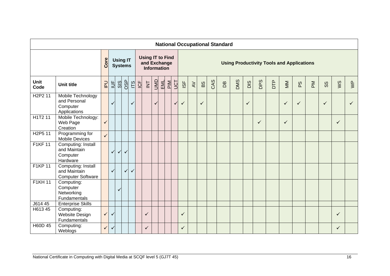|                                  |                                                                |                |                         |              |                                   |     |            |                                                               |              |     |         |              |              |         |              |     | <b>National Occupational Standard</b> |     |              |     |     |                                                  |              |                  |              |              |                |
|----------------------------------|----------------------------------------------------------------|----------------|-------------------------|--------------|-----------------------------------|-----|------------|---------------------------------------------------------------|--------------|-----|---------|--------------|--------------|---------|--------------|-----|---------------------------------------|-----|--------------|-----|-----|--------------------------------------------------|--------------|------------------|--------------|--------------|----------------|
|                                  |                                                                | Core           |                         |              | <b>Using IT</b><br><b>Systems</b> |     |            | <b>Using IT to Find</b><br>and Exchange<br><b>Information</b> |              |     |         |              |              |         |              |     |                                       |     |              |     |     | <b>Using Productivity Tools and Applications</b> |              |                  |              |              |                |
| <b>Unit</b><br>Code              | <b>Unit title</b>                                              | P <sub>U</sub> | $\overline{\mathsf{L}}$ | SIS          | OSP                               | 115 | <b>LCF</b> | $\overleftarrow{\underline{\Xi}}$                             | <u>Jivi</u>  | EML | $M_{P}$ | JCT          | 18F          | $\prec$ | BS           | CAS | $\mathsf{B}$                          | DMS | DIS          | DPS | DTP | MM                                               | PS           | $\sum_{i=1}^{n}$ | SS           | ws           | $\mathbb{R}^N$ |
| H <sub>2</sub> P <sub>2</sub> 11 | Mobile Technology<br>and Personal<br>Computer<br>Applications  |                | ✓                       |              |                                   | ✓   |            |                                                               | $\checkmark$ |     |         | $\checkmark$ | $\checkmark$ |         | $\checkmark$ |     |                                       |     | $\checkmark$ |     |     | $\checkmark$                                     | $\checkmark$ |                  | $\checkmark$ |              | $\checkmark$   |
| H1T2 11                          | Mobile Technology:<br>Web Page<br>Creation                     | $\checkmark$   |                         |              |                                   |     |            |                                                               |              |     |         |              |              |         |              |     |                                       |     |              | ✓   |     | $\checkmark$                                     |              |                  |              | $\checkmark$ |                |
| H <sub>2</sub> P <sub>5</sub> 11 | Programming for<br><b>Mobile Devices</b>                       | $\checkmark$   |                         |              |                                   |     |            |                                                               |              |     |         |              |              |         |              |     |                                       |     |              |     |     |                                                  |              |                  |              |              |                |
| <b>F1KF11</b>                    | Computing: Install<br>and Maintain<br>Computer<br>Hardware     |                | $\checkmark$            | $\checkmark$ | $\checkmark$                      |     |            |                                                               |              |     |         |              |              |         |              |     |                                       |     |              |     |     |                                                  |              |                  |              |              |                |
| F1KP 11                          | Computing: Install<br>and Maintain<br><b>Computer Software</b> |                | ✓                       |              | $\checkmark$                      | ✓   |            |                                                               |              |     |         |              |              |         |              |     |                                       |     |              |     |     |                                                  |              |                  |              |              |                |
| <b>F1KH11</b>                    | Computing:<br>Computer<br>Networking<br>Fundamentals           |                |                         | ✓            |                                   |     |            |                                                               |              |     |         |              |              |         |              |     |                                       |     |              |     |     |                                                  |              |                  |              |              |                |
| J614 45                          | <b>Enterprise Skills</b>                                       |                |                         |              |                                   |     |            |                                                               |              |     |         |              |              |         |              |     |                                       |     |              |     |     |                                                  |              |                  |              |              |                |
| H613 45                          | Computing:<br>Website Design<br>Fundamentals                   | $\checkmark$   | v                       |              |                                   |     |            | ✓                                                             |              |     |         |              | $\checkmark$ |         |              |     |                                       |     |              |     |     |                                                  |              |                  |              | $\checkmark$ |                |
| H60D 45                          | Computing:<br>Weblogs                                          | $\checkmark$   | $\checkmark$            |              |                                   |     |            | $\checkmark$                                                  |              |     |         |              | $\checkmark$ |         |              |     |                                       |     |              |     |     |                                                  |              |                  |              | $\checkmark$ |                |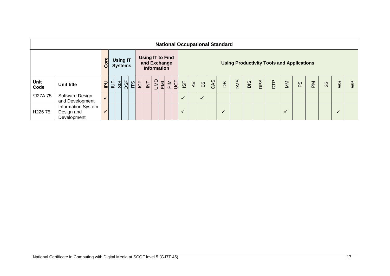|              |                                                 |                |               |                                   |              |                                         |                    |            |     |               |                                   |               |     | <b>National Occupational Standard</b> |     |     |     |            |                                |                                                  |                          |               |    |                         |
|--------------|-------------------------------------------------|----------------|---------------|-----------------------------------|--------------|-----------------------------------------|--------------------|------------|-----|---------------|-----------------------------------|---------------|-----|---------------------------------------|-----|-----|-----|------------|--------------------------------|--------------------------------------------------|--------------------------|---------------|----|-------------------------|
|              |                                                 | Core           |               | <b>Using IT</b><br><b>Systems</b> |              | <b>Using IT to Find</b><br>and Exchange | <b>Information</b> |            |     |               |                                   |               |     |                                       |     |     |     |            |                                | <b>Using Productivity Tools and Applications</b> |                          |               |    |                         |
| Unit<br>Code | <b>Unit title</b>                               | $\overline{P}$ | $\frac{1}{2}$ | $\frac{1}{5}$                     | <u>이 지 어</u> | Z                                       | 业                  | PIM<br>EML | JCT | $\frac{1}{2}$ | $\overline{\mathsf{A}\mathsf{V}}$ | $\frac{8}{9}$ | CAS | Вq                                    | DMS | DIS | DPS | <b>BTD</b> | $\mathop{\mathsf{M}}\nolimits$ | ΡS                                               | $\mathbb{\underline{M}}$ | $\frac{8}{3}$ | ws | $\overline{\mathsf{S}}$ |
| *J27A 75     | Software Design<br>and Development              | $\checkmark$   |               |                                   |              |                                         |                    |            |     | $\checkmark$  |                                   | $\checkmark$  |     |                                       |     |     |     |            |                                |                                                  |                          |               |    |                         |
| H22675       | Information System<br>Design and<br>Development | ✓              |               |                                   |              |                                         |                    |            |     | $\checkmark$  |                                   |               |     | $\checkmark$                          |     |     |     |            | $\checkmark$                   |                                                  |                          |               | ✓  |                         |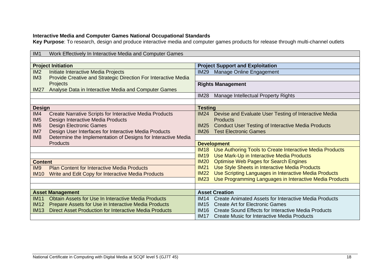#### **Interactive Media and Computer Games National Occupational Standards**

**Key Purpose**: To research, design and produce interactive media and computer games products for release through multi-channel outlets

| IM <sub>1</sub> | Work Effectively In Interactive Media and Computer Games       |                                                                          |  |
|-----------------|----------------------------------------------------------------|--------------------------------------------------------------------------|--|
|                 |                                                                |                                                                          |  |
|                 | <b>Project Initiation</b>                                      | <b>Project Support and Exploitation</b>                                  |  |
| IM <sub>2</sub> | Initiate Interactive Media Projects                            | Manage Online Engagement<br><b>IM29</b>                                  |  |
| IM <sub>3</sub> | Provide Creative and Strategic Direction For Interactive Media |                                                                          |  |
|                 | <b>Projects</b>                                                | <b>Rights Management</b>                                                 |  |
| <b>IM27</b>     | Analyse Data in Interactive Media and Computer Games           |                                                                          |  |
|                 |                                                                | <b>IM28</b><br>Manage Intellectual Property Rights                       |  |
|                 |                                                                |                                                                          |  |
| <b>Design</b>   |                                                                | <b>Testing</b>                                                           |  |
| IM4             | <b>Create Narrative Scripts for Interactive Media Products</b> | Devise and Evaluate User Testing of Interactive Media<br>IM24            |  |
| IM <sub>5</sub> | Design Interactive Media Products                              | <b>Products</b>                                                          |  |
| IM <sub>6</sub> | <b>Design Electronic Games</b>                                 | <b>Conduct User Testing of Interactive Media Products</b><br><b>IM25</b> |  |
| IM7             | Design User Interfaces for Interactive Media Products          | <b>IM26</b><br><b>Test Electronic Games</b>                              |  |
| IM <sub>8</sub> | Determine the Implementation of Designs for Interactive Media  |                                                                          |  |
|                 | <b>Products</b>                                                | <b>Development</b>                                                       |  |
|                 |                                                                | Use Authoring Tools to Create Interactive Media Products<br><b>IM18</b>  |  |
|                 |                                                                | <b>IM19</b><br>Use Mark-Up in Interactive Media Products                 |  |
| <b>Content</b>  |                                                                | <b>Optimise Web Pages for Search Engines</b><br>IM20                     |  |
| IM <sub>9</sub> | <b>Plan Content for Interactive Media Products</b>             | Use Style Sheets in Interactive Media Products<br><b>IM21</b>            |  |
| <b>IM10</b>     | Write and Edit Copy for Interactive Media Products             | Use Scripting Languages in Interactive Media Products<br>IM22            |  |
|                 |                                                                | Use Programming Languages in Interactive Media Products<br>IM23          |  |
|                 |                                                                |                                                                          |  |
|                 | <b>Asset Management</b>                                        | <b>Asset Creation</b>                                                    |  |
| <b>IM11</b>     | <b>Obtain Assets for Use In Interactive Media Products</b>     | Create Animated Assets for Interactive Media Products<br>IM14            |  |
| <b>IM12</b>     | Prepare Assets for Use in Interactive Media Products           | <b>IM15</b><br><b>Create Art for Electronic Games</b>                    |  |
| <b>IM13</b>     | <b>Direct Asset Production for Interactive Media Products</b>  | <b>IM16</b><br>Create Sound Effects for Interactive Media Products       |  |
|                 |                                                                | IM17<br>Create Music for Interactive Media Products                      |  |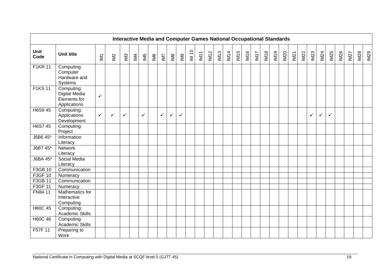|                     |                                                                    |                         |                          |                |     |                 | <b>Interactive Media and Computer Games National Occupational Standards</b> |              |                         |                |       |      |     |      |      |      |      |                  |      |      |             |      |      |      |              |              |      |             |             |      |
|---------------------|--------------------------------------------------------------------|-------------------------|--------------------------|----------------|-----|-----------------|-----------------------------------------------------------------------------|--------------|-------------------------|----------------|-------|------|-----|------|------|------|------|------------------|------|------|-------------|------|------|------|--------------|--------------|------|-------------|-------------|------|
| <b>Unit</b><br>Code | <b>Unit title</b>                                                  | $\overline{\mathbb{M}}$ | $\underline{\mathbb{N}}$ | M <sup>3</sup> | IM4 | IM <sub>5</sub> | IM6                                                                         | IM7          | $\overline{\mathbb{M}}$ | $\mathbb{R}^2$ | IM 10 | IM11 | M12 | IM13 | IM14 | IM15 | IM16 | IM <sub>17</sub> | IM18 | IM19 | <b>IM20</b> | IM21 | IM22 | IM23 | <b>IM24</b>  | IM25         | IM26 | <b>IM27</b> | <b>IM28</b> | IM29 |
| <b>F1KR 11</b>      | Computing:<br>Computer<br>Hardware and<br>Systems                  |                         |                          |                |     |                 |                                                                             |              |                         |                |       |      |     |      |      |      |      |                  |      |      |             |      |      |      |              |              |      |             |             |      |
| <b>F1KS11</b>       | Computing:<br><b>Digital Media</b><br>Elements for<br>Applications | $\checkmark$            |                          |                |     |                 |                                                                             |              |                         |                |       |      |     |      |      |      |      |                  |      |      |             |      |      |      |              |              |      |             |             |      |
| H6S9 45             | Computing:<br>Applications<br>Development                          | $\checkmark$            | $\checkmark$             | ✓              |     | $\checkmark$    |                                                                             | $\checkmark$ | $\checkmark$            | $\checkmark$   |       |      |     |      |      |      |      |                  |      |      |             |      |      | ✓    | $\checkmark$ | $\checkmark$ |      |             |             |      |
| H6S7 45             | Computing:<br>Project                                              |                         |                          |                |     |                 |                                                                             |              |                         |                |       |      |     |      |      |      |      |                  |      |      |             |      |      |      |              |              |      |             |             |      |
| J6B6 45*            | Information<br>Literacy                                            |                         |                          |                |     |                 |                                                                             |              |                         |                |       |      |     |      |      |      |      |                  |      |      |             |      |      |      |              |              |      |             |             |      |
| J6B7 45*            | <b>Network</b><br>Literacy                                         |                         |                          |                |     |                 |                                                                             |              |                         |                |       |      |     |      |      |      |      |                  |      |      |             |      |      |      |              |              |      |             |             |      |
| J6BA 45*            | Social Media<br>Literacy                                           |                         |                          |                |     |                 |                                                                             |              |                         |                |       |      |     |      |      |      |      |                  |      |      |             |      |      |      |              |              |      |             |             |      |
| F3GB 10             | Communication                                                      |                         |                          |                |     |                 |                                                                             |              |                         |                |       |      |     |      |      |      |      |                  |      |      |             |      |      |      |              |              |      |             |             |      |
| F3GF 10             | Numeracy                                                           |                         |                          |                |     |                 |                                                                             |              |                         |                |       |      |     |      |      |      |      |                  |      |      |             |      |      |      |              |              |      |             |             |      |
| F3GB 11             | Communication                                                      |                         |                          |                |     |                 |                                                                             |              |                         |                |       |      |     |      |      |      |      |                  |      |      |             |      |      |      |              |              |      |             |             |      |
| F3GF 11             | Numeracy                                                           |                         |                          |                |     |                 |                                                                             |              |                         |                |       |      |     |      |      |      |      |                  |      |      |             |      |      |      |              |              |      |             |             |      |
| FN84 11             | Mathematics for<br>Interactive<br>Computing                        |                         |                          |                |     |                 |                                                                             |              |                         |                |       |      |     |      |      |      |      |                  |      |      |             |      |      |      |              |              |      |             |             |      |
| <b>H60C 45</b>      | Computing:<br><b>Academic Skills</b>                               |                         |                          |                |     |                 |                                                                             |              |                         |                |       |      |     |      |      |      |      |                  |      |      |             |      |      |      |              |              |      |             |             |      |
| <b>H60C 46</b>      | Computing:<br>Academic Skills                                      |                         |                          |                |     |                 |                                                                             |              |                         |                |       |      |     |      |      |      |      |                  |      |      |             |      |      |      |              |              |      |             |             |      |
| F57F 11             | Preparing to<br>Work                                               |                         |                          |                |     |                 |                                                                             |              |                         |                |       |      |     |      |      |      |      |                  |      |      |             |      |      |      |              |              |      |             |             |      |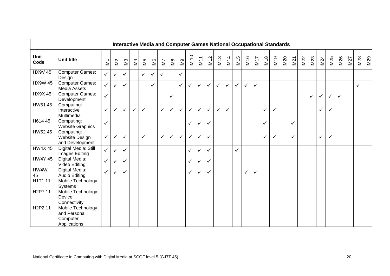|                                  |                                                               |                 |                           |                 | <b>Interactive Media and Computer Games National Occupational Standards</b> |              |              |              |              |                |              |              |              |              |              |                  |              |              |              |      |      |              |      |      |              |              |              |      |             |      |
|----------------------------------|---------------------------------------------------------------|-----------------|---------------------------|-----------------|-----------------------------------------------------------------------------|--------------|--------------|--------------|--------------|----------------|--------------|--------------|--------------|--------------|--------------|------------------|--------------|--------------|--------------|------|------|--------------|------|------|--------------|--------------|--------------|------|-------------|------|
| <b>Unit</b><br>Code              | <b>Unit title</b>                                             | IM <sub>1</sub> | $\underline{\mathsf{IM}}$ | IM <sub>3</sub> | M <sub>4</sub>                                                              | IM5          | IM6          | IM7          | IM8          | M <sub>9</sub> | IM 10        | <b>IM11</b>  | <b>IM12</b>  | IM13         | <b>IM14</b>  | IM <sub>15</sub> | IM16         | IM17         | <b>IM18</b>  | IM19 | IM20 | IM21         | IM22 | IM23 | IM24         | IM25         | M26          | IM27 | <b>IM28</b> | IM29 |
| <b>HX9V 45</b>                   | Computer Games:<br>Design                                     | $\checkmark$    | $\checkmark$              | ✓               |                                                                             | $\checkmark$ | $\checkmark$ | $\checkmark$ |              | $\checkmark$   |              |              |              |              |              |                  |              |              |              |      |      |              |      |      |              |              |              |      |             |      |
| <b>HX9W 45</b>                   | <b>Computer Games:</b><br>Media Assets                        | $\checkmark$    | $\checkmark$              | ✓               |                                                                             |              | $\checkmark$ |              |              | $\checkmark$   | ✓            | ✓            | $\checkmark$ | $\checkmark$ | $\checkmark$ | $\checkmark$     | $\checkmark$ | $\checkmark$ |              |      |      |              |      |      |              |              |              |      | ✓           |      |
| <b>HX9X45</b>                    | <b>Computer Games:</b><br>Development                         | $\checkmark$    |                           |                 |                                                                             |              |              |              | $\checkmark$ |                |              |              |              |              |              |                  |              |              |              |      |      |              |      | ✓    | $\checkmark$ | $\checkmark$ | $\checkmark$ |      |             |      |
| HW51 45                          | Computing:<br>Interactive<br>Multimedia                       | $\checkmark$    | $\checkmark$              | $\checkmark$    | $\checkmark$                                                                | $\checkmark$ |              | $\checkmark$ | $\checkmark$ | $\checkmark$   | $\checkmark$ | $\checkmark$ | $\checkmark$ | $\checkmark$ | $\checkmark$ |                  |              |              | $\checkmark$ | ✓    |      |              |      |      | $\checkmark$ | $\checkmark$ |              |      |             |      |
| H614 45                          | Computing:<br><b>Website Graphics</b>                         | $\checkmark$    |                           |                 |                                                                             |              |              |              |              |                | ✓            | ✓            | ✓            |              |              |                  |              |              | ✓            |      |      | $\checkmark$ |      |      |              |              |              |      |             |      |
| HW52 45                          | Computing:<br>Website Design<br>and Development               | $\checkmark$    | $\checkmark$              | ✓               |                                                                             | $\checkmark$ |              | $\checkmark$ | $\checkmark$ | ✓              | ✓            | $\checkmark$ | $\checkmark$ |              |              |                  |              |              | $\checkmark$ | ✓    |      | $\checkmark$ |      |      | ✓            | $\checkmark$ |              |      |             |      |
| <b>HW4X45</b>                    | Digital Media: Still<br>Images Editing                        | $\checkmark$    | $\checkmark$              | ✓               |                                                                             |              |              |              |              |                | $\checkmark$ | ✓            | ✓            |              |              | $\checkmark$     |              |              |              |      |      |              |      |      |              |              |              |      |             |      |
| <b>HW4Y 45</b>                   | Digital Media:<br>Video Editing                               | $\checkmark$    | $\checkmark$              | ✓               |                                                                             |              |              |              |              |                | ✓            | ✓            | ✓            |              |              |                  |              |              |              |      |      |              |      |      |              |              |              |      |             |      |
| HW4W<br>45                       | Digital Media:<br><b>Audio Editing</b>                        | $\checkmark$    | $\checkmark$              | ✓               |                                                                             |              |              |              |              |                | ✓            | ✓            | ✓            |              |              |                  | $\checkmark$ | ✓            |              |      |      |              |      |      |              |              |              |      |             |      |
| H1T1 11                          | Mobile Technology<br>Systems                                  |                 |                           |                 |                                                                             |              |              |              |              |                |              |              |              |              |              |                  |              |              |              |      |      |              |      |      |              |              |              |      |             |      |
| H <sub>2</sub> P7 11             | Mobile Technology:<br>Device<br>Connectivity                  |                 |                           |                 |                                                                             |              |              |              |              |                |              |              |              |              |              |                  |              |              |              |      |      |              |      |      |              |              |              |      |             |      |
| H <sub>2</sub> P <sub>2</sub> 11 | Mobile Technology<br>and Personal<br>Computer<br>Applications |                 |                           |                 |                                                                             |              |              |              |              |                |              |              |              |              |              |                  |              |              |              |      |      |              |      |      |              |              |              |      |             |      |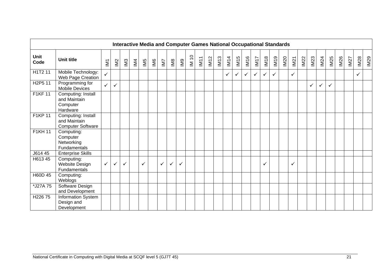|                                  |                                                                |                 |              |     |                         |              |     |     |              |              |                   |      |             |      |              |              | <b>Interactive Media and Computer Games National Occupational Standards</b> |              |             |      |             |      |      |              |              |              |      |      |             |      |
|----------------------------------|----------------------------------------------------------------|-----------------|--------------|-----|-------------------------|--------------|-----|-----|--------------|--------------|-------------------|------|-------------|------|--------------|--------------|-----------------------------------------------------------------------------|--------------|-------------|------|-------------|------|------|--------------|--------------|--------------|------|------|-------------|------|
| Unit<br>Code                     | <b>Unit title</b>                                              | IM <sub>1</sub> | IM2          | IN3 | $\overline{\mathbb{M}}$ | M5           | IM6 | IM7 | IMB          | IM9          | $\overline{M}$ 10 | IM11 | <b>IM12</b> | IM13 | <b>IM14</b>  | IM15         | <b>IM16</b>                                                                 | IM17         | <b>IM18</b> | IM19 | <b>IM20</b> | IM21 | IM22 | IM23         | IM24         | IM25         | IM26 | IM27 | <b>IM28</b> | IM29 |
| H1T2 11                          | Mobile Technology:<br>Web Page Creation                        | $\checkmark$    |              |     |                         |              |     |     |              |              |                   |      |             |      | $\checkmark$ | $\checkmark$ | $\checkmark$                                                                | $\checkmark$ | ✓           | ✓    |             | ✓    |      |              |              |              |      |      | ✓           |      |
| H <sub>2</sub> P <sub>5</sub> 11 | Programming for<br><b>Mobile Devices</b>                       | $\checkmark$    | $\checkmark$ |     |                         |              |     |     |              |              |                   |      |             |      |              |              |                                                                             |              |             |      |             |      |      | $\checkmark$ | $\checkmark$ | $\checkmark$ |      |      |             |      |
| <b>F1KF11</b>                    | Computing: Install<br>and Maintain<br>Computer<br>Hardware     |                 |              |     |                         |              |     |     |              |              |                   |      |             |      |              |              |                                                                             |              |             |      |             |      |      |              |              |              |      |      |             |      |
| F1KP 11                          | Computing: Install<br>and Maintain<br><b>Computer Software</b> |                 |              |     |                         |              |     |     |              |              |                   |      |             |      |              |              |                                                                             |              |             |      |             |      |      |              |              |              |      |      |             |      |
| <b>F1KH11</b>                    | Computing:<br>Computer<br>Networking<br><b>Fundamentals</b>    |                 |              |     |                         |              |     |     |              |              |                   |      |             |      |              |              |                                                                             |              |             |      |             |      |      |              |              |              |      |      |             |      |
| J614 45                          | <b>Enterprise Skills</b>                                       |                 |              |     |                         |              |     |     |              |              |                   |      |             |      |              |              |                                                                             |              |             |      |             |      |      |              |              |              |      |      |             |      |
| H613 45                          | Computing:<br>Website Design<br>Fundamentals                   | $\checkmark$    | $\checkmark$ | ✓   |                         | $\checkmark$ |     | ✓   | $\checkmark$ | $\checkmark$ |                   |      |             |      |              |              |                                                                             |              | ✓           |      |             | ✓    |      |              |              |              |      |      |             |      |
| H60D 45                          | Computing:<br>Weblogs                                          |                 |              |     |                         |              |     |     |              |              |                   |      |             |      |              |              |                                                                             |              |             |      |             |      |      |              |              |              |      |      |             |      |
| *J27A 75                         | Software Design<br>and Development                             |                 |              |     |                         |              |     |     |              |              |                   |      |             |      |              |              |                                                                             |              |             |      |             |      |      |              |              |              |      |      |             |      |
| H22675                           | Information System<br>Design and<br>Development                |                 |              |     |                         |              |     |     |              |              |                   |      |             |      |              |              |                                                                             |              |             |      |             |      |      |              |              |              |      |      |             |      |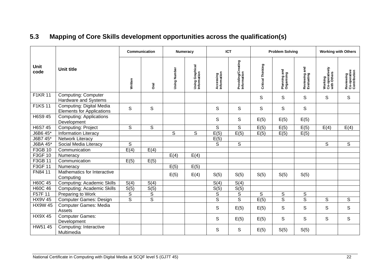<span id="page-23-0"></span>

|                |                                                              |                | <b>Communication</b> |              | Numeracy                       |                          | <b>ICT</b>                        |                   | <b>Problem Solving</b>           |                             |                                          | <b>Working with Others</b>                |
|----------------|--------------------------------------------------------------|----------------|----------------------|--------------|--------------------------------|--------------------------|-----------------------------------|-------------------|----------------------------------|-----------------------------|------------------------------------------|-------------------------------------------|
| Unit<br>code   | <b>Unit title</b>                                            | Written        | <b>Oral</b>          | Using Number | Using Graphical<br>Information | Accessing<br>Information | Providing/Creating<br>Information | Critical Thinking | and<br>Planning an<br>Organising | Reviewing and<br>Evaluating | Working<br>Co-operatively<br>with Others | Reviewing<br>Co-operative<br>Contribution |
| <b>F1KR 11</b> | <b>Computing: Computer</b><br>Hardware and Systems           |                |                      |              |                                |                          |                                   | S                 | S                                | S                           | $\mathsf S$                              | S                                         |
| <b>F1KS11</b>  | Computing: Digital Media<br><b>Elements for Applications</b> | S              | S                    |              |                                | S                        | S                                 | S                 | S                                | S                           |                                          |                                           |
| H6S9 45        | <b>Computing: Applications</b><br>Development                |                |                      |              |                                | $\mathsf S$              | S                                 | E(5)              | E(5)                             | E(5)                        |                                          |                                           |
| H6S7 45        | <b>Computing: Project</b>                                    | $\mathsf S$    | $\mathsf S$          |              |                                | $\mathsf S$              | S                                 | E(5)              | E(5)                             | E(5)                        | E(4)                                     | E(4)                                      |
| J6B6 45*       | <b>Information Literacy</b>                                  |                |                      | S            | $\mathsf S$                    | E(5)                     | E(5)                              | E(5)              | E(5)                             | E(5)                        |                                          |                                           |
| J6B7 45*       | Network Literacy                                             |                |                      |              |                                | E(5)                     |                                   |                   |                                  |                             |                                          |                                           |
| J6BA 45*       | Social Media Literacy                                        | $\mathsf S$    |                      |              |                                | S                        | S                                 |                   |                                  |                             | S                                        | S                                         |
| F3GB 10        | Communication                                                | E(4)           | E(4)                 |              |                                |                          |                                   |                   |                                  |                             |                                          |                                           |
| F3GF 10        | Numeracy                                                     |                |                      | E(4)         | E(4)                           |                          |                                   |                   |                                  |                             |                                          |                                           |
| F3GB 11        | Communication                                                | E(5)           | E(5)                 |              |                                |                          |                                   |                   |                                  |                             |                                          |                                           |
| F3GF 11        | Numeracy                                                     |                |                      | E(5)         | E(5)                           |                          |                                   |                   |                                  |                             |                                          |                                           |
| FN84 11        | Mathematics for Interactive<br>Computing                     |                |                      | E(5)         | E(4)                           | S(5)                     | S(5)                              | S(5)              | S(5)                             | S(5)                        |                                          |                                           |
| H60C 45        | <b>Computing: Academic Skills</b>                            | S(4)           | S(4)                 |              |                                | S(4)                     | S(4)                              |                   |                                  |                             |                                          |                                           |
| H60C 46        | <b>Computing: Academic Skills</b>                            | S(5)           | S(5)                 |              |                                | S(5)                     | S(5)                              |                   |                                  |                             |                                          |                                           |
| F57F 11        | Preparing to Work                                            | $\mathbb S$    | $\overline{s}$       |              |                                | $\mathbb S$              | $\mathbb S$                       | S                 | S                                | $\mathbb S$                 |                                          |                                           |
| <b>HX9V 45</b> | <b>Computer Games: Design</b>                                | $\overline{s}$ | $\overline{s}$       |              |                                | $\overline{s}$           | $\overline{\mathsf{s}}$           | E(5)              | $\overline{\mathsf{s}}$          | $\overline{s}$              | S                                        | S                                         |
| <b>HX9W 45</b> | <b>Computer Games: Media</b><br>Assets                       |                |                      |              |                                | $\mathsf S$              | E(5)                              | E(5)              | $\mathsf{S}$                     | $\mathsf S$                 | S                                        | S                                         |
| <b>HX9X45</b>  | Computer Games:<br>Development                               |                |                      |              |                                | $\mathsf S$              | E(5)                              | E(5)              | S                                | S                           | S                                        | S                                         |
| HW51 45        | Computing: Interactive<br>Multimedia                         |                |                      |              |                                | S                        | S                                 | E(5)              | S(5)                             | S(5)                        |                                          |                                           |

## **5.3 Mapping of Core Skills development opportunities across the qualification(s)**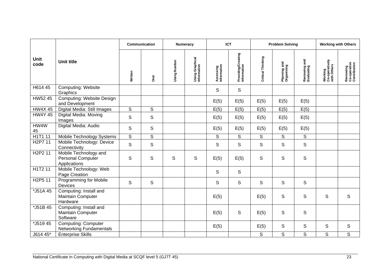|                                  |                                                                |                | Communication  |              | Numeracy                       |                          | <b>ICT</b>                        |                   | <b>Problem Solving</b>     |                             |                                          | <b>Working with Others</b>                |
|----------------------------------|----------------------------------------------------------------|----------------|----------------|--------------|--------------------------------|--------------------------|-----------------------------------|-------------------|----------------------------|-----------------------------|------------------------------------------|-------------------------------------------|
| Unit<br>code                     | <b>Unit title</b>                                              | Written        | <b>Dral</b>    | Using Number | Using Graphical<br>Information | Accessing<br>Information | Providing/Creating<br>Information | Critical Thinking | Planning and<br>Organising | Reviewing and<br>Evaluating | Working<br>Co-operatively<br>with Others | Reviewing<br>Co-operative<br>Contribution |
| H614 45                          | <b>Computing: Website</b><br>Graphics                          |                |                |              |                                | S                        | S                                 |                   |                            |                             |                                          |                                           |
| HW52 45                          | <b>Computing: Website Design</b><br>and Development            |                |                |              |                                | E(5)                     | E(5)                              | E(5)              | E(5)                       | E(5)                        |                                          |                                           |
| <b>HW4X45</b>                    | Digital Media: Still Images                                    | $\mathsf{S}$   | $\overline{s}$ |              |                                | E(5)                     | E(5)                              | E(5)              | E(5)                       | E(5)                        |                                          |                                           |
| <b>HW4Y 45</b>                   | Digital Media: Moving<br>Images                                | $\mathbb S$    | $\mathsf S$    |              |                                | E(5)                     | E(5)                              | E(5)              | E(5)                       | E(5)                        |                                          |                                           |
| HW4W<br>45                       | Digital Media: Audio                                           | S              | S              |              |                                | E(5)                     | E(5)                              | E(5)              | E(5)                       | E(5)                        |                                          |                                           |
| H1T1 11                          | Mobile Technology Systems                                      | $\overline{s}$ | $\overline{s}$ |              |                                | $\mathsf S$              | S                                 | S                 | S                          | $\overline{s}$              |                                          |                                           |
| H <sub>2</sub> P7 11             | Mobile Technology: Device<br>Connectivity                      | $\mathsf S$    | $\mathsf S$    |              |                                | S                        | S                                 | $\mathsf S$       | S                          | $\mathsf S$                 |                                          |                                           |
| H <sub>2</sub> P <sub>2</sub> 11 | Mobile Technology and<br>Personal Computer<br>Applications     | $\mathbb S$    | S              | $\mathsf S$  | S                              | E(5)                     | E(5)                              | S                 | $\mathbb S$                | $\mathbb S$                 |                                          |                                           |
| H1T2 11                          | Mobile Technology: Web<br>Page Creation                        |                |                |              |                                | S                        | S                                 |                   |                            |                             |                                          |                                           |
| H <sub>2</sub> P <sub>5</sub> 11 | <b>Programming for Mobile</b><br><b>Devices</b>                | S              | S              |              |                                | S                        | S                                 | S                 | S                          | S                           |                                          |                                           |
| *J51A 45                         | Computing: Install and<br>Maintain Computer<br>Hardware        |                |                |              |                                | E(5)                     |                                   | E(5)              | $\mathbb S$                | S                           | S                                        | S                                         |
| *J51B 45                         | Computing: Install and<br><b>Maintain Computer</b><br>Software |                |                |              |                                | E(5)                     | S                                 | E(5)              | S                          | S                           |                                          |                                           |
| $\sqrt{\frac{1}{5}}$ 19 45       | <b>Computing: Computer</b><br><b>Networking Fundamentals</b>   |                |                |              |                                | E(5)                     |                                   | E(5)              | S                          | S                           | S                                        | S                                         |
| J614 45*                         | <b>Enterprise Skills</b>                                       |                |                |              |                                |                          |                                   | S                 | $\overline{s}$             | $\overline{s}$              | $\overline{s}$                           | $\overline{s}$                            |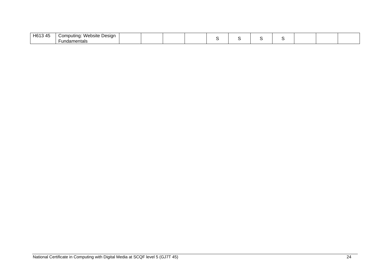| $\overline{ }$<br>— H61ა<br>. ⊿⊷<br>77 | . .<br>Website<br>Jomn<br>Design<br>butina: |  |  |  |  |  |  |
|----------------------------------------|---------------------------------------------|--|--|--|--|--|--|
|                                        | uanier<br>u<br>нак                          |  |  |  |  |  |  |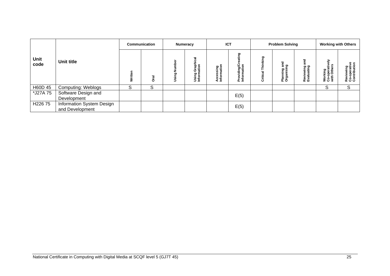|              |                                              |   | <b>Communication</b> |                                               | <b>Numeracy</b>                            |                                    | <b>ICT</b>                                  |                              | <b>Problem Solving</b>       |                         | <b>Working with Others</b>               |                                               |
|--------------|----------------------------------------------|---|----------------------|-----------------------------------------------|--------------------------------------------|------------------------------------|---------------------------------------------|------------------------------|------------------------------|-------------------------|------------------------------------------|-----------------------------------------------|
| Unit<br>code | Unit title                                   | è | Oral                 | ھ<br>$\overline{\phantom{a}}$<br>ත<br>一読<br>Ξ | ಹ<br>l Graphi<br>nation<br>Using<br>Inform | ssing<br>mation<br>Acces<br>Inform | ටා<br>iding/Ci<br>mation<br>Provi<br>Infori | <b>king</b><br>Ē<br>Critical | စ္စ<br>Planning<br>Organisin | Reviewing<br>Evaluating | Working<br>Co-operatively<br>with Others | ៖ ទ<br>혼흉<br>Reviewin<br>Co-opera<br>Contribu |
| H60D 45      | <b>Computing: Weblogs</b>                    | S | S                    |                                               |                                            |                                    |                                             |                              |                              |                         | S                                        | S                                             |
| *J27A 75     | Software Design and<br>Development           |   |                      |                                               |                                            |                                    | E(5)                                        |                              |                              |                         |                                          |                                               |
| H22675       | Information System Design<br>and Development |   |                      |                                               |                                            |                                    | E(5)                                        |                              |                              |                         |                                          |                                               |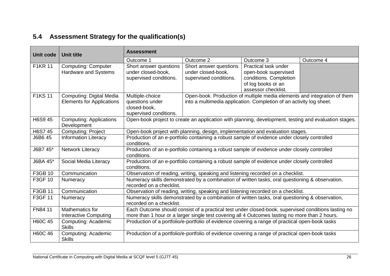## **5.4 Assessment Strategy for the qualification(s)**

<span id="page-27-0"></span>

| <b>Unit code</b> | <b>Unit title</b>                                            | <b>Assessment</b>                                                            |                                                                        |                                                                                                                                                                                                       |           |
|------------------|--------------------------------------------------------------|------------------------------------------------------------------------------|------------------------------------------------------------------------|-------------------------------------------------------------------------------------------------------------------------------------------------------------------------------------------------------|-----------|
|                  |                                                              | Outcome 1                                                                    | Outcome 2                                                              | Outcome 3                                                                                                                                                                                             | Outcome 4 |
| <b>F1KR 11</b>   | <b>Computing: Computer</b><br><b>Hardware and Systems</b>    | Short answer questions<br>under closed-book,<br>supervised conditions.       | Short answer questions<br>under closed-book,<br>supervised conditions. | Practical task under<br>open-book supervised<br>conditions. Completion<br>of log books or an<br>assessor checklist.                                                                                   |           |
| <b>F1KS 11</b>   | Computing: Digital Media<br><b>Elements for Applications</b> | Multiple-choice<br>questions under<br>closed-book,<br>supervised conditions. |                                                                        | Open-book. Production of multiple media elements and integration of them<br>into a multimedia application. Completion of an activity log sheet.                                                       |           |
| H6S9 45          | <b>Computing: Applications</b><br>Development                |                                                                              |                                                                        | Open-book project to create an application with planning, development, testing and evaluation stages.                                                                                                 |           |
| H6S7 45          | <b>Computing: Project</b>                                    |                                                                              |                                                                        | Open-book project with planning, design, implementation and evaluation stages.                                                                                                                        |           |
| J6B6 45          | <b>Information Literacy</b>                                  | conditions.                                                                  |                                                                        | Production of an e-portfolio containing a robust sample of evidence under closely controlled                                                                                                          |           |
| J6B7 45*         | <b>Network Literacy</b>                                      | conditions.                                                                  |                                                                        | Production of an e-portfolio containing a robust sample of evidence under closely controlled                                                                                                          |           |
| J6BA 45*         | Social Media Literacy                                        | conditions.                                                                  |                                                                        | Production of an e-portfolio containing a robust sample of evidence under closely controlled                                                                                                          |           |
| F3GB 10          | Communication                                                |                                                                              |                                                                        | Observation of reading, writing, speaking and listening recorded on a checklist.                                                                                                                      |           |
| F3GF 10          | Numeracy                                                     | recorded on a checklist.                                                     |                                                                        | Numeracy skills demonstrated by a combination of written tasks, oral questioning & observation,                                                                                                       |           |
| F3GB 11          | Communication                                                |                                                                              |                                                                        | Observation of reading, writing, speaking and listening recorded on a checklist.                                                                                                                      |           |
| F3GF 11          | Numeracy                                                     | recorded on a checklist.                                                     |                                                                        | Numeracy skills demonstrated by a combination of written tasks, oral questioning & observation,                                                                                                       |           |
| FN84 11          | Mathematics for<br><b>Interactive Computing</b>              |                                                                              |                                                                        | Each Outcome should consist of a practical test under closed-book, supervised conditions lasting no<br>more than 1 hour or a larger single test covering all 4 Outcomes lasting no more than 2 hours. |           |
| <b>H60C 45</b>   | Computing: Academic<br><b>Skills</b>                         |                                                                              |                                                                        | Production of a portfolio/e-portfolio of evidence covering a range of practical open-book tasks                                                                                                       |           |
| H60C 46          | Computing: Academic<br><b>Skills</b>                         |                                                                              |                                                                        | Production of a portfolio/e-portfolio of evidence covering a range of practical open-book tasks                                                                                                       |           |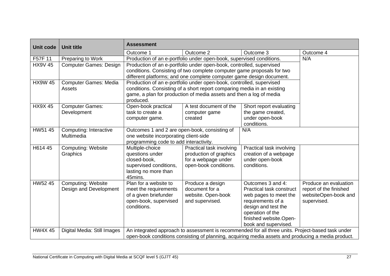| <b>Unit code</b> | <b>Unit title</b>             | <b>Assessment</b>                                                                                 |                                                                         |                                                                                                    |                        |
|------------------|-------------------------------|---------------------------------------------------------------------------------------------------|-------------------------------------------------------------------------|----------------------------------------------------------------------------------------------------|------------------------|
|                  |                               | Outcome 1                                                                                         | Outcome 2                                                               | Outcome 3                                                                                          | Outcome 4              |
| F57F 11          | Preparing to Work             |                                                                                                   | Production of an e-portfolio under open-book, supervised conditions.    |                                                                                                    |                        |
| <b>HX9V 45</b>   | <b>Computer Games: Design</b> |                                                                                                   | Production of an e-portfolio under open-book, controlled, supervised    |                                                                                                    |                        |
|                  |                               | conditions. Consisting of two complete computer game proposals for two                            |                                                                         |                                                                                                    |                        |
|                  |                               |                                                                                                   | different platforms; and one complete computer game design document.    |                                                                                                    |                        |
| <b>HX9W 45</b>   | <b>Computer Games: Media</b>  |                                                                                                   | Production of an e-portfolio under open-book, controlled, supervised    |                                                                                                    |                        |
|                  | Assets                        |                                                                                                   | conditions. Consisting of a short report comparing media in an existing |                                                                                                    |                        |
|                  |                               |                                                                                                   | game, a plan for production of media assets and then a log of media     |                                                                                                    |                        |
| <b>HX9X45</b>    | <b>Computer Games:</b>        | produced.<br>Open-book practical                                                                  | A test document of the                                                  | Short report evaluating                                                                            |                        |
|                  | Development                   | task to create a                                                                                  | computer game                                                           | the game created,                                                                                  |                        |
|                  |                               | computer game.                                                                                    | created                                                                 | under open-book                                                                                    |                        |
|                  |                               |                                                                                                   |                                                                         | conditions.                                                                                        |                        |
| HW51 45          | Computing: Interactive        | Outcomes 1 and 2 are open-book, consisting of                                                     |                                                                         | N/A                                                                                                |                        |
|                  | Multimedia                    | one website incorporating client-side                                                             |                                                                         |                                                                                                    |                        |
|                  |                               | programming code to add interactivity.                                                            |                                                                         |                                                                                                    |                        |
| H614 45          | <b>Computing: Website</b>     | Multiple-choice                                                                                   | Practical task involving                                                | Practical task involving                                                                           |                        |
|                  | Graphics                      | questions under                                                                                   | production of graphics                                                  | creation of a webpage                                                                              |                        |
|                  |                               | closed-book,                                                                                      | for a webpage under                                                     | under open-book                                                                                    |                        |
|                  |                               | supervised conditions,                                                                            | open-book conditions.                                                   | conditions.                                                                                        |                        |
|                  |                               | lasting no more than                                                                              |                                                                         |                                                                                                    |                        |
| HW52 45          | <b>Computing: Website</b>     | 45mins.<br>Plan for a website to                                                                  | Produce a design                                                        | Outcomes 3 and 4:                                                                                  | Produce an evaluation  |
|                  | Design and Development        | meet the requirements                                                                             | document for a                                                          | Practical task construct                                                                           | report of the finished |
|                  |                               | of a given briefunder                                                                             | website. Open-book                                                      | web pages to meet the                                                                              | websiteOpen-book and   |
|                  |                               | open-book, supervised                                                                             | and supervised.                                                         | requirements of a                                                                                  | supervised.            |
|                  |                               | conditions.                                                                                       |                                                                         | design and test the                                                                                |                        |
|                  |                               |                                                                                                   |                                                                         | operation of the                                                                                   |                        |
|                  |                               |                                                                                                   |                                                                         | finished website.Open-                                                                             |                        |
|                  |                               |                                                                                                   |                                                                         | book and supervised.                                                                               |                        |
| <b>HW4X45</b>    | Digital Media: Still Images   | An integrated approach to assessment is recommended for all three units. Project-based task under |                                                                         |                                                                                                    |                        |
|                  |                               |                                                                                                   |                                                                         | open-book conditions consisting of planning, acquiring media assets and producing a media product. |                        |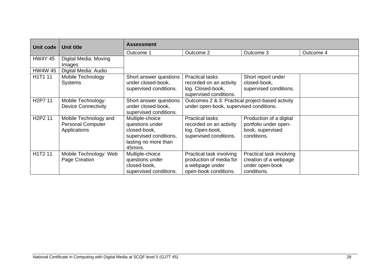| Unit code                        | <b>Unit title</b>                                                 | <b>Assessment</b>                                                                                               |                                                                                                  |                                                                                     |           |
|----------------------------------|-------------------------------------------------------------------|-----------------------------------------------------------------------------------------------------------------|--------------------------------------------------------------------------------------------------|-------------------------------------------------------------------------------------|-----------|
|                                  |                                                                   | Outcome 1                                                                                                       | Outcome 2                                                                                        | Outcome 3                                                                           | Outcome 4 |
| <b>HW4Y 45</b>                   | Digital Media: Moving<br>Images                                   |                                                                                                                 |                                                                                                  |                                                                                     |           |
| <b>HW4W 45</b>                   | Digital Media: Audio                                              |                                                                                                                 |                                                                                                  |                                                                                     |           |
| H1T1 11                          | Mobile Technology<br><b>Systems</b>                               | Short answer questions<br>under closed-book,<br>supervised conditions.                                          | <b>Practical tasks</b><br>recorded on an activity<br>log. Closed-book,<br>supervised conditions. | Short report under<br>closed-book,<br>supervised conditions.                        |           |
| H <sub>2</sub> P7 11             | Mobile Technology:<br><b>Device Connectivity</b>                  | Short answer questions<br>under closed-book,<br>supervised conditions.                                          | Outcomes 2 & 3: Practical project-based activity<br>under open-book, supervised conditions.      |                                                                                     |           |
| H <sub>2</sub> P <sub>2</sub> 11 | Mobile Technology and<br><b>Personal Computer</b><br>Applications | Multiple-choice<br>questions under<br>closed-book,<br>supervised conditions,<br>lasting no more than<br>45mins. | <b>Practical tasks</b><br>recorded on an activity<br>log. Open-book,<br>supervised conditions.   | Production of a digital<br>portfolio under open-<br>book, supervised<br>conditions. |           |
| H1T2 11                          | Mobile Technology: Web<br>Page Creation                           | Multiple-choice<br>questions under<br>closed-book,<br>supervised conditions.                                    | Practical task involving<br>production of media for<br>a webpage under<br>open-book conditions.  | Practical task involving<br>creation of a webpage<br>under open-book<br>conditions. |           |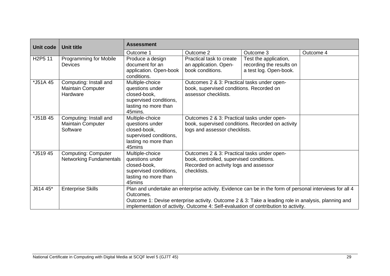| Unit code                        | <b>Unit title</b>                                              | <b>Assessment</b>                                                                                                                                                                                                                                                                                                  |                                                                                                                                                  |                                                                             |           |
|----------------------------------|----------------------------------------------------------------|--------------------------------------------------------------------------------------------------------------------------------------------------------------------------------------------------------------------------------------------------------------------------------------------------------------------|--------------------------------------------------------------------------------------------------------------------------------------------------|-----------------------------------------------------------------------------|-----------|
|                                  |                                                                | Outcome 1                                                                                                                                                                                                                                                                                                          | Outcome 2                                                                                                                                        | Outcome 3                                                                   | Outcome 4 |
| H <sub>2</sub> P <sub>5</sub> 11 | Programming for Mobile<br><b>Devices</b>                       | Produce a design<br>document for an<br>application. Open-book<br>conditions.                                                                                                                                                                                                                                       | Practical task to create<br>an application. Open-<br>book conditions.                                                                            | Test the application,<br>recording the results on<br>a test log. Open-book. |           |
| *J51A 45                         | Computing: Install and<br><b>Maintain Computer</b><br>Hardware | Multiple-choice<br>questions under<br>closed-book,<br>supervised conditions,<br>lasting no more than<br>45mins.                                                                                                                                                                                                    | Outcomes 2 & 3: Practical tasks under open-<br>book, supervised conditions. Recorded on<br>assessor checklists.                                  |                                                                             |           |
| *J51B 45                         | Computing: Install and<br><b>Maintain Computer</b><br>Software | Multiple-choice<br>questions under<br>closed-book,<br>supervised conditions,<br>lasting no more than<br>45mins                                                                                                                                                                                                     | Outcomes 2 & 3: Practical tasks under open-<br>book, supervised conditions. Recorded on activity<br>logs and assessor checklists.                |                                                                             |           |
| *J51945                          | <b>Computing: Computer</b><br><b>Networking Fundamentals</b>   | Multiple-choice<br>questions under<br>closed-book,<br>supervised conditions,<br>lasting no more than<br>45mins                                                                                                                                                                                                     | Outcomes 2 & 3: Practical tasks under open-<br>book, controlled, supervised conditions.<br>Recorded on activity logs and assessor<br>checklists. |                                                                             |           |
| J614 45*                         | <b>Enterprise Skills</b>                                       | Plan and undertake an enterprise activity. Evidence can be in the form of personal interviews for all 4<br>Outcomes.<br>Outcome 1: Devise enterprise activity. Outcome 2 & 3: Take a leading role in analysis, planning and<br>implementation of activity. Outcome 4: Self-evaluation of contribution to activity. |                                                                                                                                                  |                                                                             |           |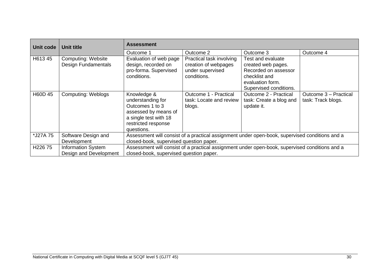| Unit code           | Unit title                                          | <b>Assessment</b>                                                                                                                         |                                                                                     |                                                                                                                                |                                             |
|---------------------|-----------------------------------------------------|-------------------------------------------------------------------------------------------------------------------------------------------|-------------------------------------------------------------------------------------|--------------------------------------------------------------------------------------------------------------------------------|---------------------------------------------|
|                     |                                                     | Outcome 1                                                                                                                                 | Outcome 2                                                                           | Outcome 3                                                                                                                      | Outcome 4                                   |
| H613 45             | <b>Computing: Website</b><br>Design Fundamentals    | Evaluation of web page<br>design, recorded on<br>pro-forma. Supervised<br>conditions.                                                     | Practical task involving<br>creation of webpages<br>under supervised<br>conditions. | Test and evaluate<br>created web pages.<br>Recorded on assessor<br>checklist and<br>evaluation form.<br>Supervised conditions. |                                             |
| H60D 45             | <b>Computing: Weblogs</b>                           | Knowledge &<br>understanding for<br>Outcomes 1 to 3<br>assessed by means of<br>a single test with 18<br>restricted response<br>questions. | Outcome 1 - Practical<br>task: Locate and review<br>blogs.                          | Outcome 2 - Practical<br>task: Create a blog and<br>update it.                                                                 | Outcome 3 - Practical<br>task: Track blogs. |
| *J27A 75            | Software Design and<br>Development                  | Assessment will consist of a practical assignment under open-book, supervised conditions and a<br>closed-book, supervised question paper. |                                                                                     |                                                                                                                                |                                             |
| H <sub>226</sub> 75 | <b>Information System</b><br>Design and Development | Assessment will consist of a practical assignment under open-book, supervised conditions and a<br>closed-book, supervised question paper. |                                                                                     |                                                                                                                                |                                             |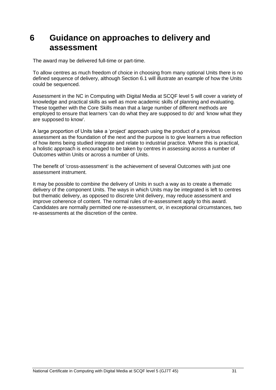## <span id="page-32-0"></span>**6 Guidance on approaches to delivery and assessment**

The award may be delivered full-time or part-time.

To allow centres as much freedom of choice in choosing from many optional Units there is no defined sequence of delivery, although Section 6.1 will illustrate an example of how the Units could be sequenced.

Assessment in the NC in Computing with Digital Media at SCQF level 5 will cover a variety of knowledge and practical skills as well as more academic skills of planning and evaluating. These together with the Core Skills mean that a large number of different methods are employed to ensure that learners 'can do what they are supposed to do' and 'know what they are supposed to know'.

A large proportion of Units take a 'project' approach using the product of a previous assessment as the foundation of the next and the purpose is to give learners a true reflection of how items being studied integrate and relate to industrial practice. Where this is practical, a holistic approach is encouraged to be taken by centres in assessing across a number of Outcomes within Units or across a number of Units.

The benefit of 'cross-assessment' is the achievement of several Outcomes with just one assessment instrument.

It may be possible to combine the delivery of Units in such a way as to create a thematic delivery of the component Units. The ways in which Units may be integrated is left to centres but thematic delivery, as opposed to discrete Unit delivery, may reduce assessment and improve coherence of content. The normal rules of re-assessment apply to this award. Candidates are normally permitted one re-assessment, or, in exceptional circumstances, two re-assessments at the discretion of the centre.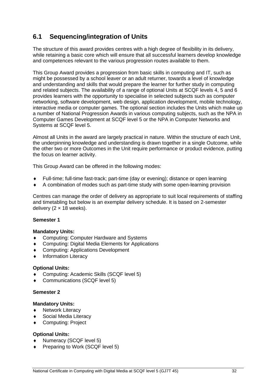## <span id="page-33-0"></span>**6.1 Sequencing/integration of Units**

The structure of this award provides centres with a high degree of flexibility in its delivery, while retaining a basic core which will ensure that all successful learners develop knowledge and competences relevant to the various progression routes available to them.

This Group Award provides a progression from basic skills in computing and IT, such as might be possessed by a school leaver or an adult returner, towards a level of knowledge and understanding and skills that would prepare the learner for further study in computing and related subjects. The availability of a range of optional Units at SCQF levels 4, 5 and 6 provides learners with the opportunity to specialise in selected subjects such as computer networking, software development, web design, application development, mobile technology, interactive media or computer games. The optional section includes the Units which make up a number of National Progression Awards in various computing subjects, such as the NPA in Computer Games Development at SCQF level 5 or the NPA in Computer Networks and Systems at SCQF level 5.

Almost all Units in the award are largely practical in nature. Within the structure of each Unit, the underpinning knowledge and understanding is drawn together in a single Outcome, while the other two or more Outcomes in the Unit require performance or product evidence, putting the focus on learner activity.

This Group Award can be offered in the following modes:

- Full-time; full-time fast-track; part-time (day or evening); distance or open learning
- A combination of modes such as part-time study with some open-learning provision

Centres can manage the order of delivery as appropriate to suit local requirements of staffing and timetabling but below is an exemplar delivery schedule. It is based on 2-semester delivery ( $2 \times 18$  weeks).

#### **Semester 1**

#### **Mandatory Units:**

- ◆ Computing: Computer Hardware and Systems
- Computing: Digital Media Elements for Applications
- Computing: Applications Development
- Information Literacy

#### **Optional Units:**

- Computing: Academic Skills (SCQF level 5)
- Communications (SCQF level 5)

#### **Semester 2**

#### **Mandatory Units:**

- ◆ Network Literacy
- Social Media Literacy
- Computing: Project

#### **Optional Units:**

- Numeracy (SCQF level 5)
- Preparing to Work (SCQF level 5)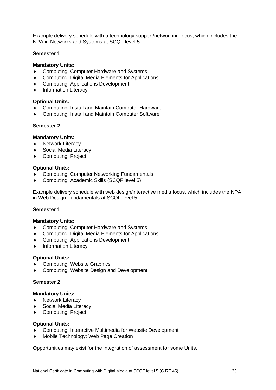Example delivery schedule with a technology support/networking focus, which includes the NPA in Networks and Systems at SCQF level 5.

#### **Semester 1**

#### **Mandatory Units:**

- ◆ Computing: Computer Hardware and Systems
- Computing: Digital Media Elements for Applications
- Computing: Applications Development
- $\bullet$  Information Literacy

#### **Optional Units:**

- Computing: Install and Maintain Computer Hardware
- Computing: Install and Maintain Computer Software

#### **Semester 2**

#### **Mandatory Units:**

- ◆ Network Literacy
- Social Media Literacy
- ◆ Computing: Project

#### **Optional Units:**

- Computing: Computer Networking Fundamentals
- Computing: Academic Skills (SCQF level 5)

Example delivery schedule with web design/interactive media focus, which includes the NPA in Web Design Fundamentals at SCQF level 5.

#### **Semester 1**

#### **Mandatory Units:**

- ◆ Computing: Computer Hardware and Systems
- Computing: Digital Media Elements for Applications
- Computing: Applications Development
- Information Literacy

#### **Optional Units:**

- Computing: Website Graphics
- Computing: Website Design and Development

#### **Semester 2**

#### **Mandatory Units:**

- ◆ Network Literacy
- Social Media Literacy
- ◆ Computing: Project

#### **Optional Units:**

- Computing: Interactive Multimedia for Website Development
- Mobile Technology: Web Page Creation

Opportunities may exist for the integration of assessment for some Units.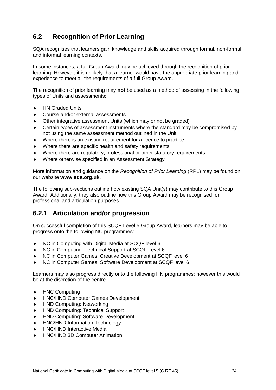## <span id="page-35-0"></span>**6.2 Recognition of Prior Learning**

SQA recognises that learners gain knowledge and skills acquired through formal, non-formal and informal learning contexts.

In some instances, a full Group Award may be achieved through the recognition of prior learning. However, it is unlikely that a learner would have the appropriate prior learning and experience to meet all the requirements of a full Group Award.

The recognition of prior learning may **not** be used as a method of assessing in the following types of Units and assessments:

- ◆ HN Graded Units
- Course and/or external assessments
- Other integrative assessment Units (which may or not be graded)
- Certain types of assessment instruments where the standard may be compromised by not using the same assessment method outlined in the Unit
- Where there is an existing requirement for a licence to practice
- Where there are specific health and safety requirements
- Where there are regulatory, professional or other statutory requirements
- Where otherwise specified in an Assessment Strategy

More information and guidance on the *Recognition of Prior Learning* (RPL) may be found on our website **[www.sqa.org.uk](http://www.sqa.org.uk/)**.

The following sub-sections outline how existing SQA Unit(s) may contribute to this Group Award. Additionally, they also outline how this Group Award may be recognised for professional and articulation purposes.

## **6.2.1 Articulation and/or progression**

On successful completion of this SCQF Level 5 Group Award, learners may be able to progress onto the following NC programmes:

- ◆ NC in Computing with Digital Media at SCQF level 6
- NC in Computing: Technical Support at SCQF Level 6
- NC in Computer Games: Creative Development at SCQF level 6
- NC in Computer Games: Software Development at SCQF level 6

Learners may also progress directly onto the following HN programmes; however this would be at the discretion of the centre.

- ◆ HNC Computing
- HNC/HND Computer Games Development
- HND Computing: Networking
- HND Computing: Technical Support
- HND Computing: Software Development
- HNC/HND Information Technology
- HNC/HND Interactive Media
- HNC/HND 3D Computer Animation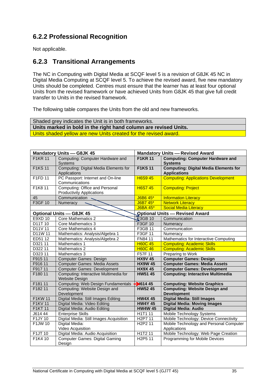## **6.2.2 Professional Recognition**

Not applicable.

### **6.2.3 Transitional Arrangements**

The NC in Computing with Digital Media at SCQF level 5 is a revision of G8JK 45 NC in Digital Media Computing at SCQF level 5. To achieve the revised award, five new mandatory Units should be completed. Centres must ensure that the learner has at least four optional Units from the revised framework or have achieved Units from G8JK 45 that give full credit transfer to Units in the revised framework.

The following table compares the Units from the old and new frameworks.

| Shaded grey indicates the Unit is in both frameworks.            |
|------------------------------------------------------------------|
| Units marked in bold in the right hand column are revised Units. |
| Units shaded yellow are new Units created for the revised award. |

|                       | <b>Mandatory Units - G8JK 45</b>                        |                                  | <b>Mandatory Units - Revised Award</b>       |
|-----------------------|---------------------------------------------------------|----------------------------------|----------------------------------------------|
| <b>F1KR 11</b>        | Computing: Computer Hardware and                        | <b>F1KR 11</b>                   | <b>Computing: Computer Hardware and</b>      |
|                       | <b>Systems</b>                                          |                                  | <b>Systems</b>                               |
| <b>F1KS11</b>         | Computing: Digital Media Elements for                   | <b>F1KS11</b>                    | <b>Computing: Digital Media Elements for</b> |
|                       | Applications                                            |                                  | <b>Applications</b>                          |
| F1FD 11               | PC Passport: Internet and On-line                       | <b>H6S9 45</b>                   | <b>Computing: Applications Development</b>   |
|                       | Communications                                          |                                  |                                              |
| F1K8 11               | Computing: Office and Personal                          | <b>H6S7 45</b>                   | <b>Computing: Project</b>                    |
|                       | <b>Productivity Applications</b>                        |                                  |                                              |
| 45                    | Communication                                           | J6B6 45*                         | <b>Information Literacy</b>                  |
| F3GF 10               | Numeracy                                                | J6B7 45*                         | <b>Network Literacy</b>                      |
|                       |                                                         | <b>J6BA 45*</b>                  | <b>Social Media Literacy</b>                 |
|                       | <b>Optional Units - G8JK 45</b>                         |                                  | <b>Optional Units - Revised Award</b>        |
| E9XD 10               | Core Mathematics 2                                      | $\sqrt{\text{S3GB}}$ 10          | Communication                                |
| D11T 10               | Core Mathematics 3                                      | F3GF 10                          | Numeracy                                     |
| D11V 11               | Core Mathematics 4                                      | F3GB 11                          | Communication                                |
| D11W 11               | Mathematics: Analysis/Algebra 1                         | F3GF 11                          | Numeracy                                     |
| ED51 12               | Mathematics: Analysis/Algebra 2                         | FN84 11                          | Mathematics for Interactive Computing        |
| D321 11               | Mathematics 1                                           | <b>H60C 45</b>                   | <b>Computing: Academic Skills</b>            |
| D322 11               | Mathematics 2                                           | <b>H60C 46</b>                   | <b>Computing: Academic Skills</b>            |
| D323 11               | Mathematics 3                                           | F57F 11                          | Preparing to Work                            |
| F915 11               | <b>Computer Games: Design</b>                           | <b>HX9V 45</b>                   | <b>Computer Games: Design</b>                |
| F916 11               | <b>Computer Games: Media Assets</b>                     | <b>HX9W 45</b>                   | <b>Computer Games: Media Assets</b>          |
| F917 11               | <b>Computer Games: Development</b>                      | <b>HX9X 45</b>                   | <b>Computer Games: Development</b>           |
| F180 11               | Computing: Interactive Multimedia for<br>Website Design | HW51 45                          | <b>Computing: Interactive Multimedia</b>     |
| F181 11               | Computing: Web Design Fundamentals                      | $+$ 614 45                       | <b>Computing: Website Graphics</b>           |
| F182 11               | Computing: Website Design and                           | <b>HW52 45</b>                   | <b>Computing: Website Design and</b>         |
|                       | Development                                             |                                  | <b>Development</b>                           |
| <b>F1KW11</b>         | Digital Media: Still Images Editing                     | <b>HW4X45</b>                    | <b>Digital Media: Still Images</b>           |
| <b>F1KV11</b>         | Digital Media: Video Editing                            | <b>HW4Y 45</b>                   | <b>Digital Media: Moving Images</b>          |
| <b>F1KT11</b>         | Digital Media: Audio Editing                            | <b>HW4W 45</b>                   | <b>Digital Media: Audio</b>                  |
| $\overline{J6}$ 14 44 | <b>Enterprise Skills</b>                                | H1T1 11                          | Mobile Technology Systems                    |
| F1JY 10               | Digital Media: Still Images Acquisition                 | H <sub>2</sub> P7 11             | Mobile Technology: Device Connectivity       |
| F1JW 10               | Digital Media:                                          | H <sub>2</sub> P <sub>2</sub> 11 | Mobile Technology and Personal Computer      |
|                       | Video Acquisition                                       |                                  | Applications                                 |
| F1JT 10               | Digital Media: Audio Acquisition                        | H1T2 11                          | Mobile Technology: Web Page Creation         |
| F1K4 10               | <b>Computer Games: Digital Gaming</b>                   | H <sub>2</sub> P <sub>5</sub> 11 | Programming for Mobile Devices               |
|                       | Design                                                  |                                  |                                              |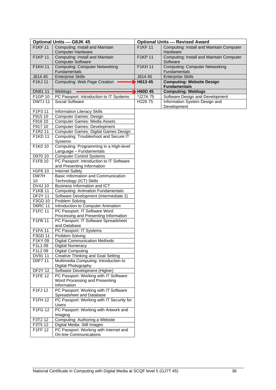| <b>Optional Units - G8JK 45</b>       |                                                                     | <b>Optional Units - Revised Award</b> |                                                              |  |
|---------------------------------------|---------------------------------------------------------------------|---------------------------------------|--------------------------------------------------------------|--|
| <b>F1KF11</b>                         | Computing: Install and Maintain                                     | <b>F1KF11</b>                         | Computing: Install and Maintain Computer                     |  |
|                                       | <b>Computer Hardware</b>                                            |                                       | Hardware                                                     |  |
| <b>F1KP 11</b>                        | Computing: Install and Maintain                                     | <b>F1KP 11</b>                        | Computing: Install and Maintain Computer                     |  |
|                                       | <b>Computer Software</b>                                            |                                       | Software                                                     |  |
| <b>F1KH11</b>                         | <b>Computing: Computer Networking</b>                               | <b>F1KH11</b>                         | <b>Computing: Computer Networking</b>                        |  |
|                                       | <b>Fundamentals</b>                                                 |                                       | Fundamentals                                                 |  |
| J614 45<br><b>F1KJ11</b>              | <b>Enterprise Skills</b><br>Computing: Web Page Creation            | J614 45<br>H613 45                    | <b>Enterprise Skills</b><br><b>Computing: Website Design</b> |  |
|                                       |                                                                     |                                       | <b>Fundamentals</b>                                          |  |
| DN81 11                               | Weblogs                                                             | <b>H60D 45</b>                        | <b>Computing: Weblogs</b>                                    |  |
| F1GP 10                               | PC Passport: Introduction to IT Systems                             | *J27A 75                              | Software Design and Development                              |  |
| <b>DW7J11</b>                         | Social Software                                                     | H <sub>226</sub> 75                   | Information System Design and                                |  |
|                                       |                                                                     |                                       | Development                                                  |  |
| F1P3 11                               | Information Literacy Skills                                         |                                       |                                                              |  |
| F915 10                               | Computer Games: Design                                              |                                       |                                                              |  |
| F916 10                               | <b>Computer Games: Media Assets</b>                                 |                                       |                                                              |  |
| F917 10                               | <b>Computer Games: Development</b>                                  |                                       |                                                              |  |
| F1R2 11                               | Computer Games: Digital Games Design                                |                                       |                                                              |  |
| F1KD 11                               | Computing: Troubleshoot and Secure IT<br>Systems                    |                                       |                                                              |  |
| F1K0 10                               | Computing: Programming in a High-level                              |                                       |                                                              |  |
|                                       | Language - Fundamentals                                             |                                       |                                                              |  |
| D970 10                               | <b>Computer Control Systems</b>                                     |                                       |                                                              |  |
| F1F8 10                               | PC Passport: Introduction to IT Software                            |                                       |                                                              |  |
|                                       | and Presenting Information                                          |                                       |                                                              |  |
| H1F6 10                               | <b>Internet Safety</b>                                              |                                       |                                                              |  |
| DW7H                                  | Basic Information and Communication                                 |                                       |                                                              |  |
| 10                                    | Technology (ICT) Skills                                             |                                       |                                                              |  |
| DV4J 10                               | Business Information and ICT                                        |                                       |                                                              |  |
| F1KB 11                               | <b>Computing: Animation Fundamentals</b>                            |                                       |                                                              |  |
| <b>DF2Y 11</b>                        | Software Development (Intermediate 2)                               |                                       |                                                              |  |
| F3GD 10                               | Problem Solving                                                     |                                       |                                                              |  |
| <b>D6RC 11</b><br>$\overline{F1FC}11$ | Introduction to Computer Animation<br>PC Passport: IT Software Word |                                       |                                                              |  |
|                                       | Processing and Presenting Information                               |                                       |                                                              |  |
| F1FB 11                               | PC Passport: IT Software Spreadsheet                                |                                       |                                                              |  |
|                                       | and Database                                                        |                                       |                                                              |  |
| F1FA 11                               | PC Passport: IT Systems                                             |                                       |                                                              |  |
| F3GD 11                               | Problem Solving                                                     |                                       |                                                              |  |
| F1KY 09                               | <b>Digital Communication Methods</b>                                |                                       |                                                              |  |
| F1L1 09                               | <b>Digital Numeracy</b>                                             |                                       |                                                              |  |
| F1L2 09                               | <b>Digital Computing</b>                                            |                                       |                                                              |  |
| DV91 11                               | <b>Creative Thinking and Goal Setting</b>                           |                                       |                                                              |  |
| D0F7 11                               | Multimedia Computing: Introduction to                               |                                       |                                                              |  |
|                                       | Digital Photography                                                 |                                       |                                                              |  |
| <b>DF2Y 12</b>                        | Software Development (Higher)                                       |                                       |                                                              |  |
| F1FE 12                               | PC Passport: Working with IT Software:                              |                                       |                                                              |  |
|                                       | Word Processing and Presenting<br>Information                       |                                       |                                                              |  |
| F1FJ12                                | PC Passport: Working with IT Software                               |                                       |                                                              |  |
|                                       | Spreadsheet and Database                                            |                                       |                                                              |  |
| F1FH 12                               | PC Passport: Working with IT Security for                           |                                       |                                                              |  |
|                                       | Users                                                               |                                       |                                                              |  |
| F1FG 12                               | PC Passport: Working with Artwork and                               |                                       |                                                              |  |
|                                       | Imaging                                                             |                                       |                                                              |  |
| F3T2 12                               | Computing: Authoring a Website                                      |                                       |                                                              |  |
| F3T5 12                               | Digital Media: Still Images                                         |                                       |                                                              |  |
| F1FF 12                               | PC Passport: Working with Internet and                              |                                       |                                                              |  |
|                                       | <b>On-line Communications</b>                                       |                                       |                                                              |  |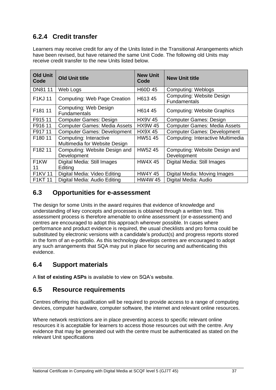## **6.2.4 Credit transfer**

Learners may receive credit for any of the Units listed in the Transitional Arrangements which have been revised, but have retained the same Unit Code. The following old Units may receive credit transfer to the new Units listed below.

| Old Unit<br>Code  | <b>Old Unit title</b>                               | <b>New Unit</b><br>Code | <b>New Unit title</b>                            |
|-------------------|-----------------------------------------------------|-------------------------|--------------------------------------------------|
| DN81 11           | Web Logs                                            | H60D 45                 | <b>Computing: Weblogs</b>                        |
| F1KJ 11           | Computing: Web Page Creation                        | H613 45                 | <b>Computing: Website Design</b><br>Fundamentals |
| F181 11           | <b>Computing: Web Design</b><br><b>Fundamentals</b> | H614 45                 | <b>Computing: Website Graphics</b>               |
| F915 11           | <b>Computer Games: Design</b>                       | <b>HX9V 45</b>          | <b>Computer Games: Design</b>                    |
| F916 11           | <b>Computer Games: Media Assets</b>                 | <b>HX9W 45</b>          | <b>Computer Games: Media Assets</b>              |
| F917 11           | <b>Computer Games: Development</b>                  | <b>HX9X45</b>           | <b>Computer Games: Development</b>               |
| F180 11           | Computing: Interactive                              | HW51 45                 | Computing: Interactive Multimedia                |
|                   | Multimedia for Website Design                       |                         |                                                  |
| F182 11           | Computing: Website Design and                       | HW5245                  | Computing: Website Design and                    |
|                   | Development                                         |                         | Development                                      |
| F <sub>1</sub> KW | Digital Media: Still Images                         | <b>HW4X45</b>           | Digital Media: Still Images                      |
| 11                | Editing                                             |                         |                                                  |
| F1KV 11           | Digital Media: Video Editing                        | HW4Y 45                 | Digital Media: Moving Images                     |
| F1KT 11           | Digital Media: Audio Editing                        | <b>HW4W 45</b>          | Digital Media: Audio                             |

## <span id="page-38-0"></span>**6.3 Opportunities for e-assessment**

The design for some Units in the award requires that evidence of knowledge and understanding of key concepts and processes is obtained through a written test. This assessment process is therefore amenable to online assessment (or e-assessment) and centres are encouraged to adopt this approach wherever possible. In cases where performance and product evidence is required, the usual checklists and pro forma could be substituted by electronic versions with a candidate's product(s) and progress reports stored in the form of an e-portfolio. As this technology develops centres are encouraged to adopt any such arrangements that SQA may put in place for securing and authenticating this evidence.

## <span id="page-38-1"></span>**6.4 Support materials**

A **[list of existing ASPs](http://www.sqa.org.uk/sqa/46233.2769.html)** is available to view on SQA's website.

## <span id="page-38-2"></span>**6.5 Resource requirements**

Centres offering this qualification will be required to provide access to a range of computing devices, computer hardware, computer software, the internet and relevant online resources.

Where network restrictions are in place preventing access to specific relevant online resources it is acceptable for learners to access those resources out with the centre. Any evidence that may be generated out with the centre must be authenticated as stated on the relevant Unit specifications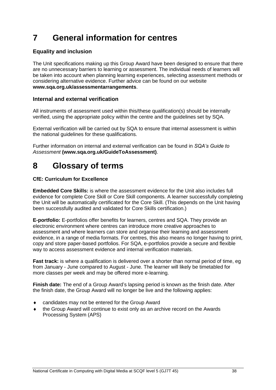# <span id="page-39-0"></span>**7 General information for centres**

### **Equality and inclusion**

The Unit specifications making up this Group Award have been designed to ensure that there are no unnecessary barriers to learning or assessment. The individual needs of learners will be taken into account when planning learning experiences, selecting assessment methods or considering alternative evidence. Further advice can be found on our website **[www.sqa.org.uk/assessmentarrangements](http://www.sqa.org.uk/sqa/14977.html)**.

#### **Internal and external verification**

All instruments of assessment used within this/these qualification(s) should be internally verified, using the appropriate policy within the centre and the guidelines set by SQA.

External verification will be carried out by SQA to ensure that internal assessment is within the national guidelines for these qualifications.

Further information on internal and external verification can be found in *SQA's Guide to Assessment* **[\(www.sqa.org.uk/GuideToAssessment\)](http://www.sqa.org.uk/sqa/files_ccc/GuideToAssessment.pdf)**.

## <span id="page-39-1"></span>**8 Glossary of terms**

#### **CfE: Curriculum for Excellence**

**Embedded Core Skills:** is where the assessment evidence for the Unit also includes full evidence for complete Core Skill or Core Skill components. A learner successfully completing the Unit will be automatically certificated for the Core Skill. (This depends on the Unit having been successfully audited and validated for Core Skills certification.)

**E-portfolio:** E-portfolios offer benefits for learners, centres and SQA. They provide an electronic environment where centres can introduce more creative approaches to assessment and where learners can store and organise their learning and assessment evidence, in a range of media formats. For centres, this also means no longer having to print, copy and store paper-based portfolios. For SQA, e-portfolios provide a secure and flexible way to access assessment evidence and internal verification materials.

**Fast track:** is where a qualification is delivered over a shorter than normal period of time, eg from January - June compared to August - June. The learner will likely be timetabled for more classes per week and may be offered more e-learning.

**Finish date:** The end of a Group Award's lapsing period is known as the finish date. After the finish date, the Group Award will no longer be live and the following applies:

- candidates may not be entered for the Group Award
- the Group Award will continue to exist only as an archive record on the Awards Processing System (APS)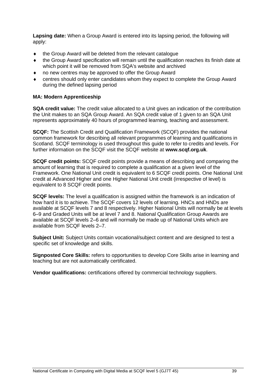**Lapsing date:** When a Group Award is entered into its lapsing period, the following will apply:

- the Group Award will be deleted from the relevant catalogue
- the Group Award specification will remain until the qualification reaches its finish date at which point it will be removed from SQA's website and archived
- no new centres may be approved to offer the Group Award
- centres should only enter candidates whom they expect to complete the Group Award during the defined lapsing period

#### **MA: Modern Apprenticeship**

**SQA credit value:** The credit value allocated to a Unit gives an indication of the contribution the Unit makes to an SQA Group Award. An SQA credit value of 1 given to an SQA Unit represents approximately 40 hours of programmed learning, teaching and assessment.

**SCQF:** The Scottish Credit and Qualification Framework (SCQF) provides the national common framework for describing all relevant programmes of learning and qualifications in Scotland. SCQF terminology is used throughout this guide to refer to credits and levels. For further information on the SCQF visit the SCQF website at **[www.scqf.org.uk](http://www.scqf.org.uk/)**.

**SCQF credit points:** SCQF credit points provide a means of describing and comparing the amount of learning that is required to complete a qualification at a given level of the Framework. One National Unit credit is equivalent to 6 SCQF credit points. One National Unit credit at Advanced Higher and one Higher National Unit credit (irrespective of level) is equivalent to 8 SCQF credit points.

**SCQF levels:** The level a qualification is assigned within the framework is an indication of how hard it is to achieve. The SCQF covers 12 levels of learning. HNCs and HNDs are available at SCQF levels 7 and 8 respectively. Higher National Units will normally be at levels 6–9 and Graded Units will be at level 7 and 8. National Qualification Group Awards are available at SCQF levels 2–6 and will normally be made up of National Units which are available from SCQF levels 2–7.

**Subject Unit:** Subject Units contain vocational/subject content and are designed to test a specific set of knowledge and skills.

**Signposted Core Skills:** refers to opportunities to develop Core Skills arise in learning and teaching but are not automatically certificated.

**Vendor qualifications:** certifications offered by commercial technology suppliers.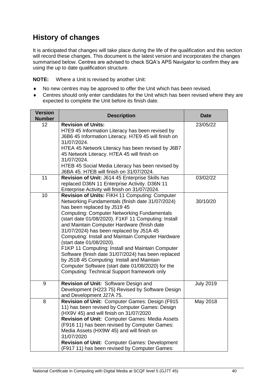## **History of changes**

It is anticipated that changes will take place during the life of the qualification and this section will record these changes. This document is the latest version and incorporates the changes summarised below. Centres are advised to check SQA's APS Navigator to confirm they are using the up to date qualification structure.

**NOTE:** Where a Unit is revised by another Unit:

- No new centres may be approved to offer the Unit which has been revised.
- Centres should only enter candidates for the Unit which has been revised where they are expected to complete the Unit before its finish date.

| <b>Version</b><br><b>Number</b> | <b>Description</b>                                                                                                                                                                                                                                                                                                                                                                                                                                                                                                                                                                                                                                                                       | <b>Date</b>      |
|---------------------------------|------------------------------------------------------------------------------------------------------------------------------------------------------------------------------------------------------------------------------------------------------------------------------------------------------------------------------------------------------------------------------------------------------------------------------------------------------------------------------------------------------------------------------------------------------------------------------------------------------------------------------------------------------------------------------------------|------------------|
| 12                              | <b>Revision of Units:</b><br>H7E9 45 Information Literacy has been revised by<br>J6B6 45 Information Literacy. H7E9 45 will finish on<br>31/07/2024.<br>H7EA 45 Network Literacy has been revised by J6B7<br>45 Network Literacy. H7EA 45 will finish on<br>31/07/2024.<br>H7EB 45 Social Media Literacy has been revised by<br>J6BA 45. H7EB will finish on 31/07/2024.                                                                                                                                                                                                                                                                                                                 | 23/05/22         |
| 11                              | Revision of Unit: J614 45 Enterprise Skills has<br>replaced D36N 11 Enterprise Activity. D36N 11<br>Enterprise Activity will finish on 31/07/2024.                                                                                                                                                                                                                                                                                                                                                                                                                                                                                                                                       | 03/02/22         |
| 10                              | Revision of Units: FIKH 11 Computing: Computer<br>Networking Fundamentals (finish date 31/07/2024)<br>has been replaced by J519 45<br><b>Computing: Computer Networking Fundamentals</b><br>(start date 01/08/2020). F1KF 11 Computing: Install<br>and Maintain Computer Hardware (finish date<br>31/07/2024) has been replaced by J51A 45<br>Computing: Install and Maintain Computer Hardware<br>(start date 01/08/2020).<br>F1KP 11 Computing: Install and Maintain Computer<br>Software (finish date 31/07/2024) has been replaced<br>by J51B 45 Computing: Install and Maintain<br>Computer Software (start date 01/08/2020) for the<br>Computing: Technical Support framework only | 30/10/20         |
| 9                               | Revision of Unit: Software Design and<br>Development (H223 75) Revised by Software Design<br>and Development J27A 75.                                                                                                                                                                                                                                                                                                                                                                                                                                                                                                                                                                    | <b>July 2019</b> |
| 8                               | Revision of Unit: Computer Games: Design (F915<br>11) has been revised by Computer Games: Design<br>(HX9V 45) and will finish on 31/07/2020<br>Revision of Unit: Computer Games: Media Assets<br>(F916 11) has been revised by Computer Games:<br>Media Assets (HX9W 45) and will finish on<br>31/07/2020<br>Revision of Unit: Computer Games: Development<br>(F917 11) has been revised by Computer Games:                                                                                                                                                                                                                                                                              | May 2018         |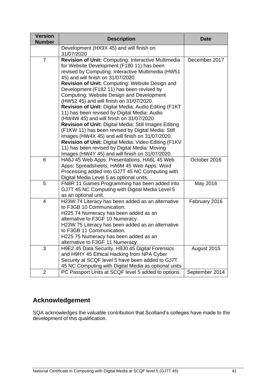| <b>Version</b><br><b>Number</b> | <b>Description</b>                                                                                                                                                                                                                                                                                                                                                                                                                                                                                                                                                                                                                                                                                                                                                                                                                                                       | <b>Date</b>    |
|---------------------------------|--------------------------------------------------------------------------------------------------------------------------------------------------------------------------------------------------------------------------------------------------------------------------------------------------------------------------------------------------------------------------------------------------------------------------------------------------------------------------------------------------------------------------------------------------------------------------------------------------------------------------------------------------------------------------------------------------------------------------------------------------------------------------------------------------------------------------------------------------------------------------|----------------|
|                                 | Development (HX9X 45) and will finish on<br>31/07/2020                                                                                                                                                                                                                                                                                                                                                                                                                                                                                                                                                                                                                                                                                                                                                                                                                   |                |
| $\overline{7}$                  | Revision of Unit: Computing: Interactive Multimedia<br>for Website Development (F180 11) has been<br>revised by Computing: Interactive Multimedia (HW51<br>45) and will finish on 31/07/2020.<br>Revision of Unit: Computing: Website Design and<br>Development (F182 11) has been revised by<br>Computing: Website Design and Development<br>(HW52 45) and will finish on 31/07/2020.<br>Revision of Unit: Digital Media: Audio Editing (F1KT<br>11) has been revised by Digital Media: Audio<br>(HW4W 45) and will finish on 31/07/2020.<br>Revision of Unit: Digital Media: Still Images Editing<br>(F1KW 11) has been revised by Digital Media: Still<br>Images (HW4X 45) and will finish on 31/07/2020.<br>Revision of Unit: Digital Media: Video Editing (F1KV<br>11) has been revised by Digital Media: Moving<br>Images (HW4Y 45) and will finish on 31/07/2020. | December 2017  |
| 6                               | HA6J 45 Web Apps: Presentations, HA6L 45 Web<br>Apps: Spreadsheets; HA6M 45 Web Apps: Word<br>Processing added into GJ7T 45 NC Computing with<br>Digital Media Level 5 as optional units.                                                                                                                                                                                                                                                                                                                                                                                                                                                                                                                                                                                                                                                                                | October 2016   |
| 5                               | FN8R 11 Games Programming has been added into<br>GJ7T 45 NC Computing with Digital Media Level 5<br>as an optional unit.                                                                                                                                                                                                                                                                                                                                                                                                                                                                                                                                                                                                                                                                                                                                                 | May 2016       |
| 4                               | H23W 74 Literacy has been added as an alternative<br>to F3GB 10 Communication.<br>H225 74 Numeracy has been added as an<br>alternative to F3GF 10 Numeracy.<br>H23W 75 Literacy has been added as an alternative<br>to F3GB 11 Communication.<br>H225 75 Numeracy has been added as an<br>alternative to F3GF 11 Numeracy.                                                                                                                                                                                                                                                                                                                                                                                                                                                                                                                                               | February 2016  |
| 3                               | H9E2 45 Data Security, H9J0 45 Digital Forensics<br>and H9HY 45 Ethical Hacking from NPA Cyber<br>Security at SCQF level 5 have been added to GJ7T<br>45 NC Computing with Digital Media as optional units                                                                                                                                                                                                                                                                                                                                                                                                                                                                                                                                                                                                                                                               | August 2015    |
| 2                               | PC Passport Units at SCQF level 5 added to options.                                                                                                                                                                                                                                                                                                                                                                                                                                                                                                                                                                                                                                                                                                                                                                                                                      | September 2014 |

## **Acknowledgement**

SQA acknowledges the valuable contribution that Scotland's colleges have made to the development of this qualification.